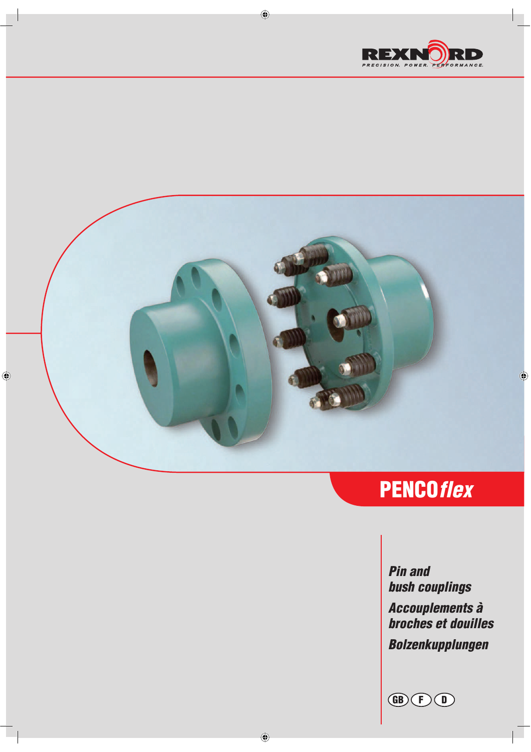



 $\bigoplus$ 

# PENCOflex

Pin and bush couplings Accouplements à broches et douilles Bolzenkupplungen

GB + D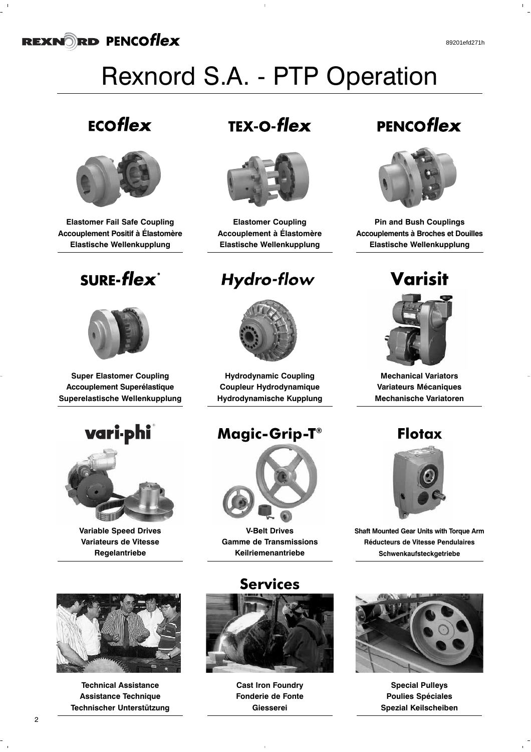# Rexnord S.A. - PTP Operation

### ECOflex



**Elastomer Fail Safe Coupling Accouplement Positif à Élastomère Elastische Wellenkupplung**

## **SURE-flex**<sup>®</sup>



**Super Elastomer Coupling Accouplement Superélastique Superelastische Wellenkupplung**

### vari phi ®



**Variable Speed Drives Variateurs de Vitesse Regelantriebe**

## **TEX-O-flex**



**Elastomer Coupling Accouplement à Élastomère Elastische Wellenkupplung**

### **Hydro-flow**



**Hydrodynamic Coupling Coupleur Hydrodynamique Hydrodynamische Kupplung**

### **Magic-Grip-T®**



**V-Belt Drives Gamme de Transmissions Keilriemenantriebe**



**Technical Assistance Assistance Technique Technischer Unterstützung**

# **Services**



**Cast Iron Foundry Fonderie de Fonte Giesserei**

## PENCOflex



**Pin and Bush Couplings Accouplements à Broches et Douilles Elastische Wellenkupplung**

Varisit



**Mechanical Variators Variateurs Mécaniques Mechanische Variatoren**

### **Flotax**



**Shaft Mounted Gear Units with Torque Arm Réducteurs de Vitesse Pendulaires Schwenkaufsteckgetriebe**



**Special Pulleys Poulies Spéciales Spezial Keilscheiben**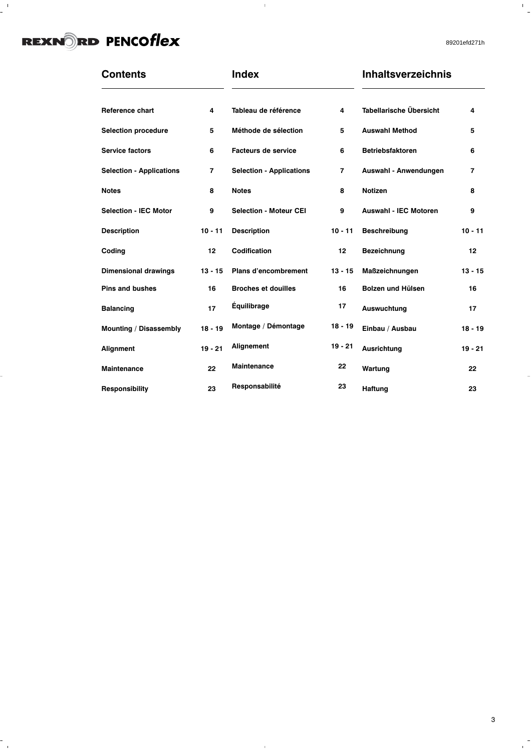$\frac{1}{2}$ 

 $\overline{a}$ 

 $\frac{1}{\sqrt{2}}$ 

89201efd271h

 $\frac{1}{\sqrt{2}}$ 

| <b>Contents</b>                 |                | <b>Index</b>                    |                | <b>Inhaltsverzeichnis</b>      |                |
|---------------------------------|----------------|---------------------------------|----------------|--------------------------------|----------------|
| <b>Reference chart</b>          | 4              | Tableau de référence            | 4              | <b>Tabellarische Übersicht</b> | 4              |
| <b>Selection procedure</b>      | 5              | Méthode de sélection            | 5              | <b>Auswahl Method</b>          | 5              |
| <b>Service factors</b>          | 6              | <b>Facteurs de service</b>      | 6              | <b>Betriebsfaktoren</b>        | 6              |
| <b>Selection - Applications</b> | $\overline{7}$ | <b>Selection - Applications</b> | $\overline{7}$ | Auswahl - Anwendungen          | $\overline{7}$ |
| <b>Notes</b>                    | 8              | <b>Notes</b>                    | 8              | <b>Notizen</b>                 | 8              |
| <b>Selection - IEC Motor</b>    | 9              | <b>Selection - Moteur CEI</b>   | 9              | <b>Auswahl - IEC Motoren</b>   | 9              |
| <b>Description</b>              | $10 - 11$      | <b>Description</b>              | $10 - 11$      | <b>Beschreibung</b>            | $10 - 11$      |
| Coding                          | 12             | <b>Codification</b>             | 12             | Bezeichnung                    | 12             |
| <b>Dimensional drawings</b>     | $13 - 15$      | Plans d'encombrement            | $13 - 15$      | Maßzeichnungen                 | $13 - 15$      |
| <b>Pins and bushes</b>          | 16             | <b>Broches et douilles</b>      | 16             | Bolzen und Hülsen              | 16             |
| <b>Balancing</b>                | 17             | <b>Équilibrage</b>              | 17             | Auswuchtung                    | 17             |
| Mounting / Disassembly          | $18 - 19$      | Montage / Démontage             | $18 - 19$      | Einbau / Ausbau                | $18 - 19$      |
| Alignment                       | $19 - 21$      | Alignement                      | $19 - 21$      | <b>Ausrichtung</b>             | $19 - 21$      |
| <b>Maintenance</b>              | 22             | <b>Maintenance</b>              | 22             | Wartung                        | 22             |
| Responsibility                  | 23             | Responsabilité                  | 23             | <b>Haftung</b>                 | 23             |

 $\bar{1}$ 

 $\mathbf{J}$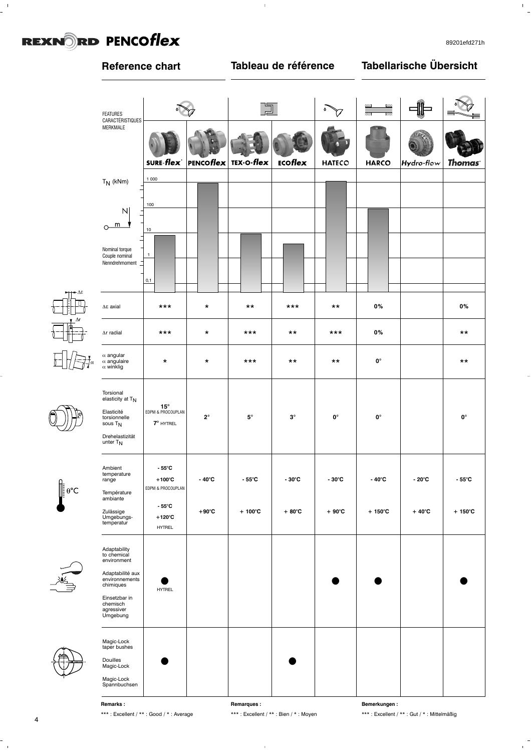$\frac{1}{2}$ 

 $\begin{array}{c} 1 \\ 1 \end{array}$ 

#### **Reference chart Tableau de référence Tabellarische Übersicht**  $\sum_{i=1}^{n}$  $\mathbf{w}$ <u>uu</u> ma. ua. 门  $\ddot{\phantom{a}}$ Z. ৺  $\overline{a}$  $\lambda$ FEATURES  $\widehat{V}$ m  $\bar{\mathbf{x}}$ Z. Ø.  $\overline{\mathbf{z}}$  $\overline{\mathbf{r}}$ m m. Z.  $\mathbf{z}$  $\overline{a}$ W. r, Ξ. CARACTÉRISTIQUES MERKMALE PENCOflex TEX-O-flex ECOflex **SURE-flex HATECO HARCO** Hydro-flow **Thomas**  $T_N$  (kNm) 1 000 100  $N$  $m$  $\circ$ 10 Nominal torque Couple nominal 1 Nenndrehmoment 0,1 **0% 0%** ∆Eaxial | \*\*\* | \* | \*\* | \*\*\* | \*\* Arradial | \*\*\* | \* | \*\*\* | \*\* | \*\*\* **0%** \*\* α angular <sup>α</sup> angulaire \* \* \*\*\* \*\* \*\* α angulaire | \* | \* | \*\*\* | \*\* | \*\* | 0° | | \*\*<br>α winklig | \* | \* | \*\* | \*\* | \*\* | 0° | | \*\* Torsional<br>elasticity at T<sub>N</sub> **15°** Elasticité EDPM & PROCOUPLAN torsionnelle **| 2° | 5° | 3° | 0° | 0**° **| 0**° sous  $T_N$  **7°** HYTREL Drehelastizität  $L$  is  $L$ . Ambient **- 55°C**

 $\bar{1}$ 



E





temperature range | +100°C | -40°C | -55°C | -30°C | -30°C | -40°C | -20°C | -55°C Température ambiante EDPM & PROCOUPLAN Zulässige Umgebungs- **+120°C - 55°C +90°C + 100°C + 80°C + 90°C + 150°C + 40°C + 150°C** temperatur HYTREL Adaptability to chemical environment Adaptabilité aux environnements chimiques HYTREL **• • • •** Einsetzbar in chemisch agressiver Umgebung Magic-Lock taper bushes Douilles<br>Magic-Lock Magic-Lock **• •** Magic-Lock Spannbuchsen

**Remarks :** \*\*\* : Excellent / \*\* : Good / \* : Average **Remarques :**

\*\*\* : Excellent / \*\* : Bien / \* : Moyen

**Bemerkungen :** \*\*\* : Excellent / \*\* : Gut / \* : Mittelmäßig

 $\mathbf{r}$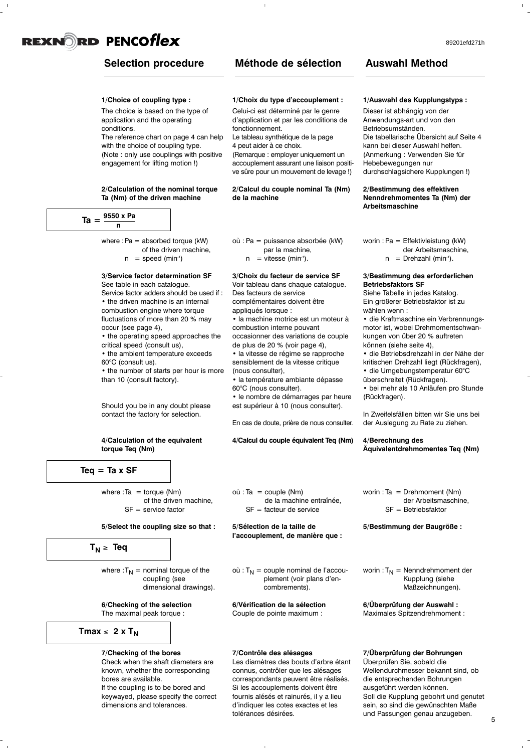### **Selection procedure**

### **Méthode de sélection**

### **1/Choice of coupling type :**

The choice is based on the type of application and the operating conditions.

The reference chart on page 4 can help with the choice of coupling type. (Note : only use couplings with positive engagement for lifting motion !)

### **2/Calculation of the nominal torque Ta (Nm) of the driven machine**

| .<br>12 | 9550 x Pa |
|---------|-----------|
|         |           |

where :  $Pa =$  absorbed torque (kW) of the driven machine,  $n = speed (min<sup>-1</sup>)$ 

### **3/Service factor determination SF**

See table in each catalogue. Service factor adders should be used if : • the driven machine is an internal combustion engine where torque fluctuations of more than 20 % may occur (see page 4),

• the operating speed approaches the critical speed (consult us),

• the ambient temperature exceeds 60°C (consult us).

• the number of starts per hour is more than 10 (consult factory).

Should you be in any doubt please contact the factory for selection.

### **4/Calculation of the equivalent torque Teq (Nm)**



where  $:Ta = torque (Nm)$ of the driven machine,  $SF =$  service factor

#### **5/Select the coupling size so that :**

 $T_N \geq$  **Teq** 

where  $:T_N =$  nominal torque of the coupling (see dimensional drawings).

**6/Checking of the selection**

The maximal peak torque :

### $Tmax \leq 2 \times T_N$

#### **7/Checking of the bores**

Check when the shaft diameters are known, whether the corresponding bores are available. If the coupling is to be bored and keywayed, please specify the correct dimensions and tolerances.

### **1/Choix du type d'accouplement :**

Celui-ci est déterminé par le genre d'application et par les conditions de fonctionnement.

Le tableau synthétique de la page 4 peut aider à ce choix.

(Remarque : employer uniquement un accouplement assurant une liaison positive sûre pour un mouvement de levage !)

### **2/Calcul du couple nominal Ta (Nm) de la machine**

- où : Pa = puissance absorbée (kW) par la machine,
	- $n =$  vitesse (min<sup>-1</sup>).

### **3/Choix du facteur de service SF** Voir tableau dans chaque catalogue.

Des facteurs de service complémentaires doivent être appliqués lorsque :

• la machine motrice est un moteur à combustion interne pouvant occasionner des variations de couple

de plus de 20 % (voir page 4), • la vitesse de régime se rapproche sensiblement de la vitesse critique

- (nous consulter), • la température ambiante dépasse
- 60°C (nous consulter).
- le nombre de démarrages par heure est supérieur à 10 (nous consulter).

En cas de doute, prière de nous consulter.

**4/Calcul du couple équivalent Teq (Nm)**

**Auswahl Method**

### **1/Auswahl des Kupplungstyps :**

Dieser ist abhängig von der Anwendungs-art und von den Betriebsumständen. Die tabellarische Übersicht auf Seite 4 kann bei dieser Auswahl helfen. (Anmerkung : Verwenden Sie für Hebebewegungen nur durchschlagsichere Kupplungen !)

### **2/Bestimmung des effektiven Nenndrehmomentes Ta (Nm) der Arbeitsmaschine**

- worin : Pa = Effektivleistung (kW) der Arbeitsmaschine,
	- $n = Drehzahl (min<sup>-1</sup>).$

#### **3/Bestimmung des erforderlichen Betriebsfaktors SF**

Siehe Tabelle in jedes Katalog. Ein größerer Betriebsfaktor ist zu wählen wenn :

• die Kraftmaschine ein Verbrennungsmotor ist, wobei Drehmomentschwankungen von über 20 % auftreten können (siehe seite 4),

• die Betriebsdrehzahl in der Nähe der kritischen Drehzahl liegt (Rückfragen), • die Umgebungstemperatur 60°C

überschreitet (Rückfragen).

• bei mehr als 10 Anläufen pro Stunde (Rückfragen).

In Zweifelsfällen bitten wir Sie uns bei der Auslegung zu Rate zu ziehen.

### **4/Berechnung des Äquivalentdrehmomentes Teq (Nm)**

 $où$ : Ta = couple (Nm) de la machine entraînée,  $SF =$  facteur de service

**5/Sélection de la taille de l'accouplement, de manière que :**

 $où: T_N = \text{couple nominal de l'accou-}$ plement (voir plans d'encombrements).

**6/Vérification de la sélection** Couple de pointe maximum :

#### **7/Contrôle des alésages**

Les diamètres des bouts d'arbre étant connus, contrôler que les alésages correspondants peuvent être réalisés. Si les accouplements doivent être fournis alésés et rainurés, il y a lieu d'indiquer les cotes exactes et les tolérances désirées.

worin : Ta = Drehmoment (Nm) der Arbeitsmaschine, SF = Betriebsfaktor

**5/Bestimmung der Baugröße :**

worin :  $T_N$  = Nenndrehmoment der Kupplung (siehe Maßzeichnungen).

**6/Überprüfung der Auswahl :**

Maximales Spitzendrehmoment :

### **7/Überprüfung der Bohrungen**

Überprüfen Sie, sobald die Wellendurchmesser bekannt sind, ob die entsprechenden Bohrungen ausgeführt werden können. Soll die Kupplung gebohrt und genutet sein, so sind die gewünschten Maße und Passungen genau anzugeben.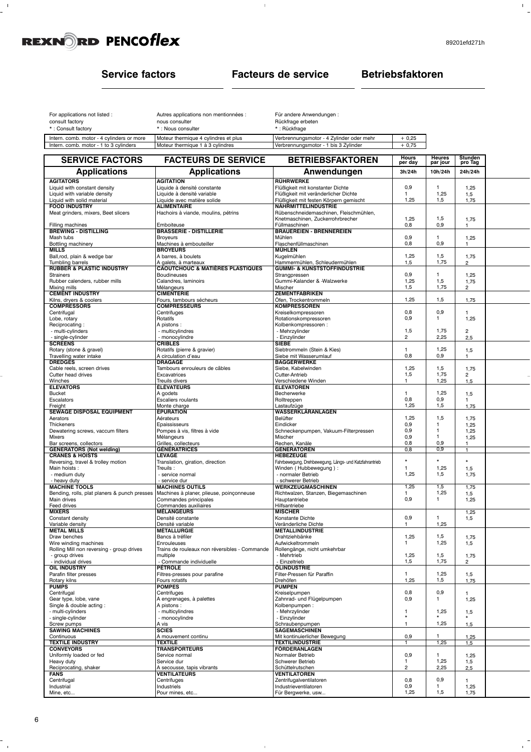$\frac{1}{2}$ 

 $\bar{\Gamma}$ 

 $\mathbf{r}^{\left(1\right)}$ 

### **Service factors Facteurs de service Betriebsfaktoren**

 $\bar{1}$ 

| Moteur thermique 4 cylindres et plus | $+0.25$                                                                                                                |
|--------------------------------------|------------------------------------------------------------------------------------------------------------------------|
| Moteur thermique 1 à 3 cylindres     | $+0.75$                                                                                                                |
|                                      | *: Nous consulter<br>* : Rückfrage<br>Verbrennungsmotor - 4 Zylinder oder mehr<br>Verbrennungsmotor - 1 bis 3 Zylinder |

| <b>SERVICE FACTORS</b>                                   | <b>FACTEURS DE SERVICE</b>                                        | <b>BETRIEBSFAKTOREN</b>                                  | Hours<br>per day     | <b>Heures</b><br>par jour | Stunden<br>pro Tag    |  |
|----------------------------------------------------------|-------------------------------------------------------------------|----------------------------------------------------------|----------------------|---------------------------|-----------------------|--|
| <b>Applications</b>                                      | <b>Applications</b>                                               | Anwendungen                                              | 3h/24h               | 10h/24h                   | 24h/24h               |  |
| <b>AGITATORS</b>                                         | <b>AGITATION</b>                                                  | RÜHRWERKE                                                |                      |                           |                       |  |
| Liquid with constant density                             | Liquide à densité constante                                       | Flüßigkeit mit konstanter Dichte                         | 0,9                  | 1.                        | 1,25                  |  |
| Liquid with variable density                             | Liquide à densité variable                                        | Flüßigkeit mit veränderlicher Dichte                     | 1                    | 1,25                      | 1,5                   |  |
| Liquid with solid material                               | Liquide avec matière solide                                       | Flüßigkeit mit festen Körpern gemischt                   | 1,25                 | 1,5                       | 1,75                  |  |
| <b>FOOD INDUSTRY</b>                                     | <b>ALIMENTAIRE</b>                                                | <b>NÄHRMITTELINDUSTRIE</b>                               |                      |                           |                       |  |
| Meat grinders, mixers, Beet slicers                      | Hachoirs à viande, moulins, pétrins                               | Rübenschneidemaschinen, Fleischmühlen,                   |                      |                           |                       |  |
| Filling machines                                         | Emboiteuse                                                        | Knetmaschinen, Zuckerrohrbrecher<br>Füllmaschinen        | 1,25<br>0,8          | 1,5<br>0,9                | 1,75<br>1             |  |
| <b>BREWING - DISTILLING</b>                              | <b>BRASSERIE - DISTILLERIE</b>                                    | <b>BRAUEREIEN - BRENNEREIEN</b>                          |                      |                           |                       |  |
| Mash tubs                                                | <b>Broyeurs</b>                                                   | Mühlen                                                   | 0,9                  | 1.                        | 1,25                  |  |
| Bottling machinery                                       | Machines à embouteiller                                           | Flaschenfüllmaschinen                                    | 0,8                  | 0,9                       | 1                     |  |
| <b>MILLS</b>                                             | <b>BROYEURS</b>                                                   | <b>MÜHLEN</b>                                            |                      |                           |                       |  |
| Ball,rod, plain & wedge bar                              | A barres, à boulets                                               | Kugelmühlen                                              | 1,25                 | 1,5                       | 1,75                  |  |
| Tumbling barrels                                         | A galets, à marteaux                                              | Hammermühlen, Schleudermühlen                            | 1,5                  | 1,75                      | $\overline{2}$        |  |
| <b>RUBBER &amp; PLASTIC INDUSTRY</b><br><b>Strainers</b> | <b>CAOUTCHOUC &amp; MATIÈRES PLASTIQUES</b><br><b>Boudineuses</b> | <b>GUMMI- &amp; KUNSTSTOFFINDUSTRIE</b><br>Strangpressen | 0,9                  | 1.                        | 1,25                  |  |
| Rubber calenders, rubber mills                           | Calandres, laminoirs                                              | Gummi-Kalander & -Walzwerke                              | 1,25                 | 1,5                       | 1,75                  |  |
| Mixing mills                                             | Mélangeurs                                                        | Mischer                                                  | 1,5                  | 1,75                      | 2                     |  |
| <b>CEMENT INDUSTRY</b>                                   | <b>CIMENTERIE</b>                                                 | <b>ZEMENTFABRIKEN</b>                                    |                      |                           |                       |  |
| Kilns, dryers & coolers                                  | Fours, tambours sécheurs                                          | Öfen, Trockentrommeln                                    | 1,25                 | 1,5                       | 1,75                  |  |
| <b>COMPRESSORS</b>                                       | <b>COMPRESSEURS</b>                                               | <b>KOMPRESSOREN</b>                                      |                      |                           |                       |  |
| Centrifugal                                              | Centrifuges                                                       | Kreiselkompressoren                                      | 0,8                  | 0,9<br>1                  | 1                     |  |
| Lobe, rotary<br>Reciprocating:                           | Rotatifs<br>A pistons:                                            | Rotationskompressoren<br>Kolbenkompressoren :            | 0,9                  |                           | 1,25                  |  |
| - multi-cylinders                                        | - multicylindres                                                  | - Mehrzylinder                                           | 1,5                  | 1,75                      | $\overline{c}$        |  |
| - single-cylinder                                        | - monocylindre                                                    | - Einzylinder                                            | 2                    | 2,25                      | 2,5                   |  |
| <b>SCREENS</b>                                           | <b>CRIBLES</b>                                                    | <b>SIEBE</b>                                             |                      |                           |                       |  |
| Rotary (stone & gravel)                                  | Rotatifs (pierre & gravier)                                       | Siebtrommeln (Stein & Kies)                              | 1                    | 1,25                      | 1,5                   |  |
| Travelling water intake                                  | A circulation d'eau                                               | Siebe mit Wasserumlauf                                   | 0,8                  | 0,9                       | 1                     |  |
| <b>DREDGES</b>                                           | <b>DRAGAGE</b>                                                    | <b>BAGGERWERKE</b>                                       |                      |                           |                       |  |
| Cable reels, screen drives                               | Tambours enrouleurs de câbles                                     | Siebe, Kabelwinden                                       | 1,25                 | 1,5                       | 1,75                  |  |
| Cutter head drives<br>Winches                            | Excavatrices<br>Treuils divers                                    | Cutter-Antrieb<br>Verschiedene Winden                    | 1,5<br>1             | 1,75<br>1,25              | $\overline{2}$<br>1,5 |  |
| <b>ELEVATORS</b>                                         | <b>ÉLÉVATEURS</b>                                                 | <b>ELEVATOREN</b>                                        |                      |                           |                       |  |
| <b>Bucket</b>                                            | A godets                                                          | Becherwerke                                              | 1                    | 1,25                      | 1,5                   |  |
| Escalators                                               | Escaliers roulants                                                | Rolltreppen                                              | 0,8                  | 0,9                       | 1                     |  |
| Freight                                                  | Monte charge                                                      | Lastaufzüge                                              | 1,25                 | 1,5                       | 1,75                  |  |
| SEWAGE DISPOSAL EQUIPMENT                                | <b>ÉPURATION</b>                                                  | WASSERKLÄRANLAGEN                                        |                      |                           |                       |  |
| Aerators                                                 | Aérateurs                                                         | Belüfter                                                 | 1,25                 | 1,5                       | 1,75                  |  |
| Thickeners                                               | Epaississeurs<br>Pompes à vis, filtres à vide                     | Eindicker                                                | 0,9<br>0,9           | 1.<br>1                   | 1,25<br>1,25          |  |
| Dewatering screws, vaccum filters<br>Mixers              | Mélangeurs                                                        | Schneckenpumpen, Vakuum-Filterpressen<br>Mischer         | 0,9                  | 1                         | 1,25                  |  |
| Bar screens, collectors                                  | Grilles, collecteurs                                              | Rechen, Kanäle                                           | 0,8                  | 0,9                       | 1                     |  |
| <b>GENERATORS (Not welding)</b>                          | <b>GÉNÉRATRICES</b>                                               | <b>GENERATOREN</b>                                       | 0,8                  | 0,9                       | $\mathbf{1}$          |  |
| <b>CRANES &amp; HOISTS</b>                               | <b>LEVAGE</b>                                                     | <b>HEBEZEUGE</b>                                         |                      |                           |                       |  |
| Reversing, travel & trolley motion                       | Translation, giration, direction                                  | Fahrbewegung, Drehbewegung, Längs- und Katzfahrantrieb   | $\star$              |                           | $\star$               |  |
| Main hoists :                                            | Treuils:                                                          | Winden (Hubbewegung):                                    | $\mathbf{1}$<br>1,25 | 1,25<br>1,5               | 1,5                   |  |
| - medium duty<br>- heavy duty                            | - service normal<br>- service dur                                 | - normaler Betrieb<br>- schwerer Betrieb                 |                      |                           | 1,75                  |  |
| <b>MACHINE TOOLS</b>                                     | <b>MACHINES OUTILS</b>                                            | WERKZEUGMASCHINEN                                        | 1,25                 | 1,5                       | 1,75                  |  |
| Bending, rolls, plat planers & punch presses             | Machines à planer, plieuse, poinçonneuse                          | Richtwalzen, Stanzen, Biegemaschinen                     | 1                    | 1,25                      | 1,5                   |  |
| Main drives                                              | Commandes principales                                             | Hauptantriebe                                            | 0,9                  | 1                         | 1,25                  |  |
| Feed drives                                              | Commandes auxiliaires                                             | Hilfsantriebe                                            |                      |                           |                       |  |
| <b>MIXERS</b>                                            | <b>MÉLANGEURS</b>                                                 | <b>MISCHER</b>                                           |                      |                           | 1,25                  |  |
| Constant density                                         | Densité constante                                                 | Konstante Dichte                                         | 0,9                  | 1                         | 1,5                   |  |
| Variable density<br><b>METAL MILLS</b>                   | Densité variable<br><b>MÉTALLURGIE</b>                            | Veränderliche Dichte<br><b>METALLINDUSTRIE</b>           | $\mathbf{1}$         | 1,25                      |                       |  |
| Draw benches                                             | Bancs à tréfiler                                                  | Drahtziehbänke                                           | 1,25                 | 1,5                       | 1,75                  |  |
| Wire winding machines                                    | Enrouleuses                                                       | Aufwickeltrommeln                                        | 1                    | 1,25                      | 1,5                   |  |
| Rolling Mill non reversing - group drives                | Trains de rouleaux non réversibles - Commande                     | Rollengänge, nicht umkehrbar                             |                      |                           |                       |  |
| - group drives                                           | multiple                                                          | - Mehrtrieb                                              | 1,25                 | 1,5                       | 1,75                  |  |
| - individual drives                                      | - Commande individuelle<br><b>PETROLE</b>                         | - Einzeltrieb                                            | 1,5                  | 1,75                      | $\overline{2}$        |  |
| <b>OIL INDUSTRY</b><br>Parafin filter presses            | Filtres-presses pour parafine                                     | ÖLINDUSTRIE<br>Filter-Pressen für Paraffin               | $\mathbf{1}$         | 1,25                      | 1,5                   |  |
| Rotary kilns                                             | Fours rotatifs                                                    | Drehöfen                                                 | 1,25                 | 1,5                       | 1,75                  |  |
| <b>PUMPS</b>                                             | <b>POMPES</b>                                                     | <b>PUMPEN</b>                                            |                      |                           |                       |  |
| Centrifugal                                              | Centrifuges                                                       | Kreiselpumpen                                            | 0,8                  | 0,9                       | 1                     |  |
| Gear type, lobe, vane                                    | A engrenages, à palettes                                          | Zahnrad- und Flügelpumpen                                | 0,9                  | $\mathbf{1}$              | 1,25                  |  |
| Single & double acting:                                  | A pistons:                                                        | Kolbenpumpen:                                            |                      |                           |                       |  |
| - multi-cylinders                                        | - multicylindres                                                  | - Mehrzylinder                                           | -1<br>$\star$        | 1,25                      | 1,5                   |  |
| - single-cylinder<br>Screw pumps                         | - monocylindre<br>A vis                                           | - Einzylinder<br>Schraubenpumpen                         | $\mathbf{1}$         | 1,25                      | 1,5                   |  |
| <b>SAWING MACHINES</b>                                   | <b>SCIES</b>                                                      | <b>SÄGEMASCHINEN</b>                                     |                      |                           |                       |  |
| Continuous                                               | A mouvement continu                                               | Mit kontinuierlicher Bewegung                            | 0,9                  | 1                         | 1,25                  |  |
| <b>TEXTILE INDUSTRY</b>                                  | <b>TEXTILE</b>                                                    | <b>TEXTILINDUSTRIE</b>                                   |                      | 1,25                      | 1,5                   |  |
| <b>CONVEYORS</b>                                         | <b>TRANSPORTEURS</b>                                              | <b>FÖRDERANLAGEN</b>                                     |                      |                           |                       |  |
| Uniformly loaded or fed                                  | Service normal                                                    | Normaler Betrieb                                         | 0,9                  | 1.                        | 1,25                  |  |
| Heavy duty                                               | Service dur                                                       | Schwerer Betrieb                                         | 1                    | 1,25                      | 1,5                   |  |
| Reciprocating, shaker                                    | A secousse, tapis vibrants                                        | Schüttelrutschen                                         | 2                    | 2,25                      | 2,5                   |  |
| <b>FANS</b><br>Centrifugal                               | <b>VENTILATEURS</b><br>Centrifuges                                | <b>VENTILATOREN</b><br>Zentrifugalventilatoren           | 0,8                  | 0,9                       | 1                     |  |
| Industrial                                               | Industriels                                                       | Industrieventilatoren                                    | 0,9                  | 1.                        | 1,25                  |  |
| Mine, etc                                                | Pour mines, etc                                                   | Für Bergwerke, usw                                       | 1,25                 | 1,5                       | 1,75                  |  |
|                                                          |                                                                   |                                                          |                      |                           |                       |  |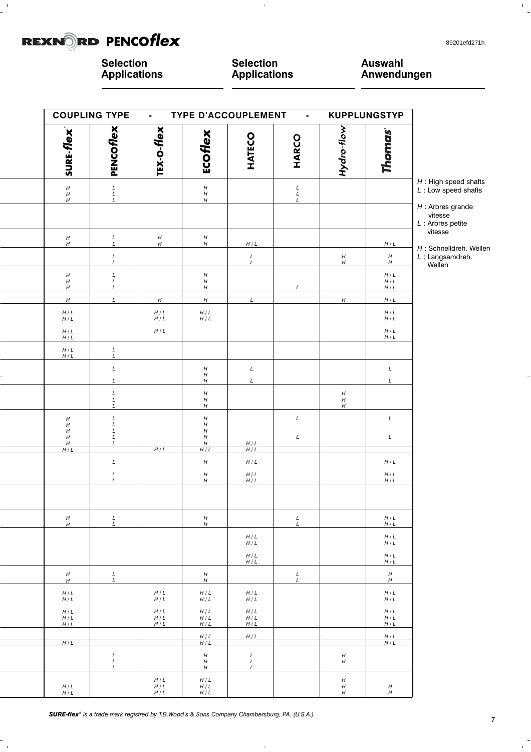$\frac{1}{2}$ 

 $\frac{1}{\sqrt{2}}$ 

 $\bar{\Gamma}$ 

**Selection Applications**

**Selection Applications**

 $\bar{1}$ 

**Auswahl Anwendungen**

| <b>COUPLING TYPE</b>                                     |                                            | $\blacksquare$      | <b>TYPE D'ACCOUPLEMENT</b>                               |                                            | $\blacksquare$       |                               | <b>KUPPLUNGSTYP</b>   |                                                         |
|----------------------------------------------------------|--------------------------------------------|---------------------|----------------------------------------------------------|--------------------------------------------|----------------------|-------------------------------|-----------------------|---------------------------------------------------------|
| <b>SURE-flex</b>                                         | PENCOflex                                  | TEX-O-flex          | ECOflex                                                  | HATECO                                     | HARCO                | Hydro-flow                    | <b>Thomas</b>         |                                                         |
| $_H^H$                                                   | $\begin{array}{c} L \\ L \\ L \end{array}$ |                     | $_H^{\!H}$<br>$\boldsymbol{H}$                           |                                            | $_L^L$<br>L          |                               |                       | $H$ : High speed shafts<br>$L:$ Low speed shafts        |
| $\boldsymbol{H}$                                         |                                            |                     |                                                          |                                            |                      |                               |                       | $H$ : Arbres grande<br>vitesse<br>$L$ : Arbres petite   |
| $_H^H$                                                   | $_L^L$                                     | $_H^H$              | $_H^H$                                                   | H/L                                        |                      |                               | H/L                   | vitesse                                                 |
|                                                          | $_L^L$                                     |                     |                                                          | $_L^L$                                     |                      | $H$                           | $_H^H$                | H : Schnelldreh. Wellen<br>$L$ : Langsamdreh.<br>Wellen |
| $^{\prime\prime}_{\prime\prime}$                         | $_L^L$                                     |                     | $\boldsymbol{H}$<br>H                                    |                                            |                      |                               | $H/L$<br>$H/L$        |                                                         |
| $\boldsymbol{H}$<br>$\boldsymbol{H}$                     | $\mathsf{L}$<br>$\cal L$                   | $\boldsymbol{H}$    | $H_{\rm}$<br>H                                           | $\cal L$                                   | $\mathcal{L}$        | $\boldsymbol{H}$              | H/L<br>H/L            |                                                         |
| $H \, / \, L$<br>$H/L$                                   |                                            | $H/L$<br>$H/L$      | $H/L$<br>$H/L$                                           |                                            |                      |                               | $H/L$<br>$H/L$        |                                                         |
| $H \, / \, L$<br>$H/L$                                   |                                            | $H/L$               |                                                          |                                            |                      |                               | $H/L$<br>$H/L$        |                                                         |
| $\begin{array}{c} H/L \\ H/L \end{array}$                | $_L^L$                                     |                     |                                                          |                                            |                      |                               |                       |                                                         |
|                                                          | $\cal L$                                   |                     | $\boldsymbol{H}$<br>$\boldsymbol{H}$                     | $\cal L$                                   |                      |                               | $\cal L$              |                                                         |
|                                                          | L<br>L<br>L                                |                     | H<br>$\boldsymbol{H}$<br>$\boldsymbol{H}$                | L                                          |                      | Η<br>$\boldsymbol{H}$         | L                     |                                                         |
| $\boldsymbol{H}$                                         | L                                          |                     | Η<br>$\boldsymbol{H}$                                    |                                            | $\cal L$             | Η                             | $\cal L$              |                                                         |
| $\boldsymbol{H}$<br>$\boldsymbol{H}$<br>$\boldsymbol{H}$ | $_L^L$<br>$\cal L$<br>L                    |                     | $\boldsymbol{H}$<br>$\boldsymbol{H}$<br>$\boldsymbol{H}$ |                                            | $\cal L$             |                               | $\cal L$              |                                                         |
| H<br>H/L                                                 | L                                          | H/L                 | $\boldsymbol{H}$<br>H/L                                  | $\frac{H/L}{H/L}$                          |                      |                               |                       |                                                         |
|                                                          | $\cal L$                                   |                     | $\boldsymbol{H}$                                         | $H/L$                                      |                      |                               | $H/L$                 |                                                         |
|                                                          | $\frac{L}{L}$                              |                     | $\boldsymbol{H}$<br>H                                    | $H/L$<br>$H/L$                             |                      |                               | $H/L$<br>$H/L$        |                                                         |
|                                                          |                                            |                     |                                                          |                                            |                      |                               |                       |                                                         |
| $\boldsymbol{H}$<br>H                                    | $\cal L$<br>$\cal L$                       |                     | $\boldsymbol{H}$<br>$\boldsymbol{H}$                     |                                            | $\cal L$<br>$\cal L$ |                               | H/L<br>H/L            |                                                         |
|                                                          |                                            |                     |                                                          | $H/L$<br>$H/L$                             |                      |                               | $H/L$<br>$H/L$        |                                                         |
|                                                          |                                            |                     |                                                          | $H/L$<br>H/L                               |                      |                               | H/L<br>H/L            |                                                         |
| $\boldsymbol{H}$<br>$\boldsymbol{H}$                     | $L$ $\cal L$                               |                     | $\boldsymbol{H}$<br>H                                    |                                            | $\cal L$<br>$\cal L$ |                               | $\boldsymbol{H}$<br>H |                                                         |
| $H/L$<br>H/L                                             |                                            | $H/L$<br>H/L        | $H/L$<br>H/L                                             | $H/L$<br>$H/L$                             |                      |                               | $H/L$<br>H/L          |                                                         |
| $H/L$<br>$H/L$<br>H/L                                    |                                            | $H/L$<br>H/L<br>H/L | $H/L$<br>H/L<br>H/L                                      | $H/L$<br>H/L<br>H/L                        |                      |                               | $H/L$<br>H/L<br>H/L   |                                                         |
| H/L                                                      |                                            |                     | $H/L$<br>H/L                                             | H/L                                        |                      |                               | H/L<br>H/L            |                                                         |
|                                                          | $_L^L$                                     |                     | $\boldsymbol{H}$<br>$\boldsymbol{H}$                     | $\begin{array}{c} L \\ L \\ L \end{array}$ |                      | $H_{\rm}$<br>$\boldsymbol{H}$ |                       |                                                         |
| $H/L$                                                    | $\overline{L}$                             | H/L<br>$H/L$        | $\boldsymbol{H}$<br>$H/L$<br>H/L                         |                                            |                      | H<br>$\boldsymbol{H}$         | Η                     |                                                         |
| $H/L$                                                    |                                            | H/L                 | $H/L$                                                    |                                            |                      | H                             | H                     |                                                         |

i.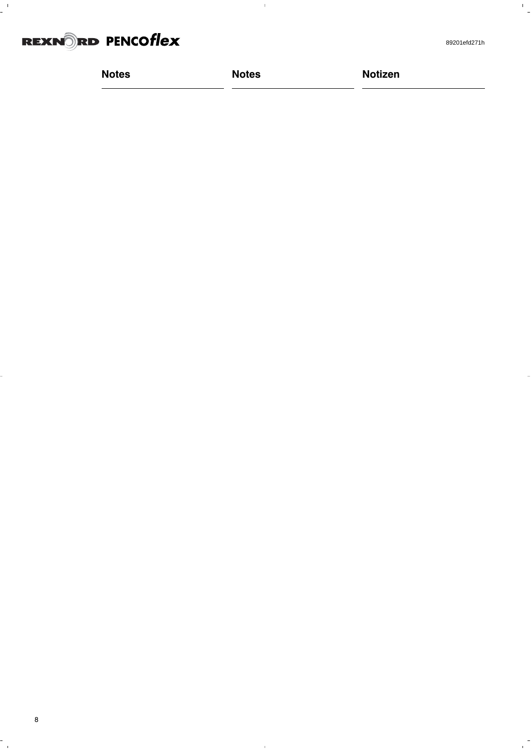

 $\frac{1}{2}$ 

 $\overline{a}$ 

| <b>Notes</b><br><b>Notizen</b><br><b>Notes</b> |  |
|------------------------------------------------|--|
|                                                |  |

 $\bar{1}$ 

 $\frac{1}{\sqrt{2}}$ 

 $\frac{1}{10}$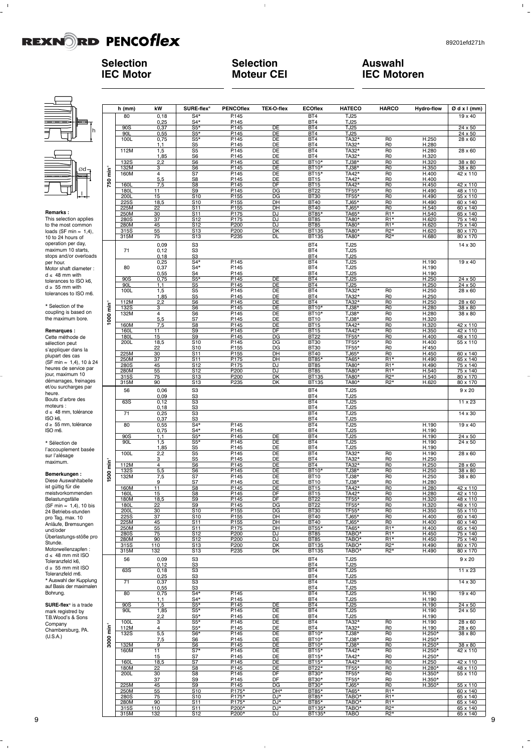h

l

 $\mathbf{L}^{\mathbf{r}}$ 

### **Selection IEC Motor**

### **Selection Moteur CEI**

 $\bar{1}$ 

### **Auswahl IEC Motoren**

¯d

 $\frac{1}{2}$ 

**Remarks :**<br>This selection applies to the most common<br>loads (SF min = 1,4), 10 to 24 hours of operation per day, maximum 10 starts, stops and/or overloads per hour. Motor shaft diameter : d ≤ 48 mm with<br>tolerances to ISO k6, d ≥ 55 mm with<br>tolerances to ISO m6.

\* Selection of the coupling is based on the maximum bore.

### **Remarques :**

Cette méthode de sélection peut s'appliquer dans la plupart des cas (SF min ≈ 1,4), 10 à 24<br>heures de service par<br>jour, maximum 10 démarrages, freinages et/ou surcharges par heure. Bouts d'arbre des moteurs : d ≤ 48 mm, tolérance<br>ISO k6,  $d \geq 55$  mm, tolérance ISO m6.

\* Sélection de l'accouplement basée sur l'alésage maximum.

### **Bemerkungen :** Diese Auswahltabelle

ist gültig für die<br>meistvorkommenden<br>Belastungsfälle<br>(SF min ≈ 1,4), 10 bis<br>24 Betriebs-stunden pro Tag, max. 10 Anläufe, Bremsungen und/oder Überlastungs-stöße pro Stunde. Motorwellenzapfen :  $d \leq 48$  mm mit ISO Toleranzfeld k6, d ≥ 55 mm mit ISO<br>Toleranzfeld m6.<br>\* Auswahl der Kupplung auf Basis der maximalen Bohrung.

**SURE-flex**® is a trade mark registred by T.B.Wood's & Sons Company Chambersburg, PA. (U.S.A.)

|                        | h (mm)              | kW                  | SURE-flex®                                                    | <b>PENCOflex</b>                 | TEX-O-flex                              | <b>ECOflex</b>                      | <b>HATECO</b>                    | <b>HARCO</b>                       | <b>Hydro-flow</b>       | Ød x I (mm)                                                                                                       |
|------------------------|---------------------|---------------------|---------------------------------------------------------------|----------------------------------|-----------------------------------------|-------------------------------------|----------------------------------|------------------------------------|-------------------------|-------------------------------------------------------------------------------------------------------------------|
|                        | 80                  | 0,18                | $S4*$                                                         | P.145                            |                                         | BT4                                 | <b>TJ25</b>                      |                                    |                         | 19 x 40                                                                                                           |
|                        |                     | $0,25$<br>$0,37$    | $S4*$                                                         | P.145                            |                                         | BT4                                 | <b>TJ25</b>                      |                                    |                         |                                                                                                                   |
|                        | 90S<br>90L          | 0,55                | $S5*$<br>$S5*$                                                | P.145<br>P.145                   | DE<br>$\overline{DE}$                   | BT4<br>BT4                          | TJ25<br>TJ25                     |                                    |                         | $24 \times 50$<br>24 x 50                                                                                         |
|                        | 100L                | 0,75                | $S5*$                                                         |                                  | DE                                      | BT4                                 |                                  | R <sub>0</sub>                     |                         | 28 x 60                                                                                                           |
|                        |                     | 1,1                 | $\frac{88}{55}$                                               | P.145                            |                                         | BT4                                 | TA32*<br>TA32*                   | RO                                 | H.250<br>H.280          |                                                                                                                   |
|                        | 112M                | 1,5                 | S <sub>5</sub>                                                | P.145                            | $\frac{DE}{DE}$                         | BT4                                 | TA32*                            | R <sub>0</sub>                     | H.280                   | $28 \times 60$                                                                                                    |
|                        |                     | $\frac{1,85}{2,2}$  | S6                                                            | P.145                            | DE                                      | BT4                                 | TA32*                            | RO                                 | H.320<br>H.320<br>H.350 |                                                                                                                   |
|                        | <b>132S</b><br>132M | з                   | $\overline{\overline{\mathsf{S6}}}$<br>$\overline{\text{S6}}$ | P.145<br>P.145                   | $\overline{DE}$<br>$\overline{DE}$      | $BT10*$<br>BT10*                    | $TJ38*$<br>TJ38*                 | $\overline{R}$<br>$\overline{R0}$  |                         | 38 x 80<br>38 x 80                                                                                                |
| ۔<br>Tim               | 160M                | 4                   | S7                                                            | P.145                            | DE                                      | $BT15*$                             | TA42*                            | R <sub>0</sub>                     | H.400                   | 42 x 110                                                                                                          |
|                        |                     | 5,5                 | S8                                                            | P.145                            | DE                                      | <b>BT15</b>                         | TA42*<br>TA42*                   | R <sub>0</sub>                     |                         |                                                                                                                   |
| 750                    | <b>160L</b>         | 7,5                 | $\overline{\text{S8}}$                                        | P.145                            | $\overline{DF}$                         | BT15                                |                                  | R <sub>0</sub>                     | H.400<br>H.450          | 42 x 110<br>48 x 110                                                                                              |
|                        | 180L                | 11                  | <u>S9</u>                                                     | P.145                            | DG                                      | <b>BT22</b>                         | TF55*                            | R <sub>0</sub>                     | H.490                   |                                                                                                                   |
|                        | <b>200L</b><br>225S | 15<br>18,5          | S <sub>10</sub><br>S <sub>10</sub>                            | P.155                            | DG<br>DH                                | BT30<br>BT40<br>BT40<br>BT85*       | TF55*<br>TJ65*                   | R <sub>0</sub><br>$\overline{R0}$  | H.490<br>H.490<br>H.540 | $\frac{10 \times 100}{55 \times 110}$ $\frac{60 \times 140}{60 \times 140}$ $\frac{65 \times 140}{55 \times 140}$ |
|                        | 225M                | 22                  | S <sub>11</sub>                                               | P.155                            | DH                                      |                                     | $\frac{1000}{TJ65*}$             | $\overline{R0}$                    |                         |                                                                                                                   |
|                        | 250M                | 30                  | S11                                                           | P.175                            | DJ                                      |                                     | TA65*                            | $R1*$                              | H.540                   |                                                                                                                   |
|                        | 280S                | 37                  | S <sub>12</sub>                                               | P.175                            | DJ                                      | BT85<br>BT85                        | TA80*                            | $R1*$                              | H.620<br>H.620          | 75 x 140                                                                                                          |
|                        | 280M                | 45                  | S <sub>12</sub>                                               | P.200                            | DJ                                      |                                     | TA80*                            | $R1*$<br>$R2*$                     |                         | $\frac{75 \times 140}{80 \times 170}$                                                                             |
|                        | 315S<br>315M        | 55<br>75            | S <sub>13</sub><br>S <sub>13</sub>                            | P.200<br>P.235                   | DK<br>DL                                | <b>BT135</b><br><b>BT135</b>        | TA80*<br>TA80*                   | $R2*$                              | H.620<br>H.680          | 80 x 170                                                                                                          |
|                        |                     |                     |                                                               |                                  |                                         |                                     | <b>TJ25</b>                      |                                    |                         |                                                                                                                   |
|                        | 71                  | $0,09$<br>$0,12$    |                                                               |                                  |                                         |                                     | <b>TJ25</b>                      |                                    |                         | 14 x 30                                                                                                           |
|                        |                     |                     | $\begin{array}{c} 83 \\ 83 \\ 83 \end{array}$                 |                                  |                                         | BT4<br>BT4<br>BT4                   | TJ25                             |                                    |                         |                                                                                                                   |
|                        |                     | $0,18$<br>$0,25$    | $S4*$                                                         | P.145                            |                                         | BT4                                 | <b>TJ25</b>                      |                                    | H.190                   | 19 x 40                                                                                                           |
|                        | 80                  | $0,37$<br>0,55      | $S4*$                                                         | P.145                            |                                         | BT4                                 | <b>TJ25</b>                      |                                    | H.190                   |                                                                                                                   |
|                        | 90S                 | 0,75                | $\overline{S4}$<br>$S5*$                                      | P.145<br>P.145                   | DE                                      | BT4<br>BT4                          | TJ25<br>TJ25                     |                                    | H.190<br>H.250          | 24 x 50                                                                                                           |
|                        | 90L                 | 1,1                 | S <sub>5</sub>                                                | P.145                            | DE                                      | BT4                                 | <b>TJ25</b>                      |                                    |                         |                                                                                                                   |
|                        | 100L                | 1,5                 | $rac{1}{\text{S5}}$                                           | P.145                            | DE                                      | BT4                                 |                                  | RO                                 | H.250<br>H.250<br>H.250 | $\frac{24 \times 50}{28 \times 60}$                                                                               |
|                        |                     | 1,85                |                                                               | P.145                            | $DE$<br>$DE$                            | BT4                                 | TA32*<br>TA32*<br>TA32*          | $rac{R0}{R0}$                      |                         |                                                                                                                   |
|                        | 112M<br>132S        | 2,2<br>3            | S <sub>6</sub><br>S <sub>6</sub>                              | P.145<br>P.145                   | DE                                      | BT4<br>BT10*                        | TJ38*                            | R <sub>0</sub>                     | H.250<br>H.280          | $28 \times 60$<br>38 x 80                                                                                         |
| 1000 min <sup>-1</sup> | 132M                | 4                   | S <sub>6</sub>                                                |                                  | DE                                      | <b>BT10*</b>                        |                                  | R <sub>0</sub>                     |                         | 38 x 80                                                                                                           |
|                        |                     | 5,5                 | $\overline{\mathbf{s}}$                                       | P.145<br>P.145<br>P.145<br>P.145 | <b>DE</b>                               | <b>BT10</b>                         | TJ38*<br>TJ38*<br>TA42*<br>TA42* | RO                                 | H.280<br>H.320          |                                                                                                                   |
|                        | 160M                | 7,5                 | S <sub>8</sub>                                                |                                  | DE                                      | <b>BT15</b>                         |                                  | R <sub>0</sub>                     | H.320<br>H.350<br>H.400 | $\frac{42 \times 110}{42 \times 110}$<br>$\frac{48 \times 110}{48 \times 110}$                                    |
|                        | <b>160L</b>         | 11                  | S <sub>9</sub>                                                |                                  | DF                                      | BT15<br>BT22<br>BT22                | $TF55*$                          | $\overline{R}0$<br>$\frac{10}{10}$ |                         |                                                                                                                   |
|                        | <b>180L</b><br>200L | 15<br>18,5          | <u>S9</u><br>S10                                              | P.145<br>P.145                   | DG<br>$\overline{DG}$                   |                                     | <b>TF55*</b>                     | R <sub>0</sub>                     | H.400                   | 55 x 110                                                                                                          |
|                        |                     | 22                  | S <sub>10</sub>                                               |                                  | DG                                      |                                     | TF55*                            | R <sub>0</sub>                     | H'450                   |                                                                                                                   |
|                        | 225M                | 30                  | $\overline{S11}$                                              | $\frac{P.155}{P.155}$            | DH                                      | <b>BT30</b><br>BT40                 | TJ65*                            | R <sub>0</sub>                     | H.450                   | 60 x 140                                                                                                          |
|                        | 250M                | 37                  | <u>S<sub>11</sub></u>                                         | P.175                            | DH                                      | BT85*<br>BT85*                      | TA65*                            | R <sub>1</sub> *                   | H.490                   | 65 x 140<br>75 x 140                                                                                              |
|                        | 280S                | 45                  | S <sub>12</sub>                                               | P.175<br>P.200                   | DJ                                      | <b>BT85</b>                         | TA80*<br>TA80*                   | $R1*$<br>$R1*$                     | H.490                   |                                                                                                                   |
|                        | 280M<br>315S        | 55<br>75            | S <sub>12</sub><br>S <sub>13</sub>                            | P.200                            | <b>DJ</b><br>DK                         | <b>BT135</b>                        | TA80*                            | $R2*$                              | H.540<br>H.540          | 75 x 140<br>80 x 170                                                                                              |
|                        | 315M                | 90                  | S13                                                           | P.235                            | DK                                      | BT135                               | TA80*                            | $R2*$                              | H.620                   | 80 x 170                                                                                                          |
|                        | 56                  | 0,06                |                                                               |                                  |                                         | BT4                                 | TJ25                             |                                    |                         | $9 \times 20$                                                                                                     |
|                        |                     | $0,09$<br>$0,12$    | S3<br>S3<br>S3<br>S3<br>S3                                    |                                  |                                         | BT4                                 | <b>TJ25</b>                      |                                    |                         |                                                                                                                   |
|                        | 63S                 |                     |                                                               |                                  |                                         | BT4                                 | TJ25                             |                                    |                         | $11 \times 23$                                                                                                    |
|                        | $\overline{71}$     | $\frac{0,18}{0,25}$ |                                                               |                                  |                                         | <b>BT4</b><br>BT4                   | TJ25                             |                                    |                         | $14 \times 30$                                                                                                    |
|                        |                     | 0,37                | S <sub>3</sub>                                                |                                  |                                         | BT4                                 | TJ25<br><b>TJ25</b>              |                                    |                         |                                                                                                                   |
|                        | 80                  | 0,55                |                                                               | P.145                            |                                         | BT4                                 | TJ25                             |                                    | H.190                   | 19 x 40                                                                                                           |
|                        |                     | 0,75                | $rac{64}{54*}$                                                | P.145                            |                                         | BT4                                 | TJ25                             |                                    | H.190                   |                                                                                                                   |
|                        | 90S                 | 1,1                 | $\overline{\text{S5*}}$                                       | P.145                            | DE                                      | BT4                                 | <b>TJ25</b>                      |                                    | H.190                   | 24 x 50                                                                                                           |
|                        | 90L                 | $\frac{1,5}{1,85}$  | $S5*$<br>$\frac{85}{55}$                                      | P.145<br>P.145                   | DE                                      | BT4                                 | <b>TJ25</b><br>TJ25              |                                    | H.190<br>H.190<br>H.190 | 24 x 50                                                                                                           |
|                        | 100L                | 2,2                 | $\overline{\text{S5}}$                                        | P.145                            | $\frac{DE}{DE}$                         | $rac{BT4}{BT4}$                     | TA32*                            | $\overline{R}0$                    |                         | 28 x 60                                                                                                           |
|                        |                     | 3                   | S <sub>5</sub>                                                | P.145<br>P.145                   | DE                                      | BT4                                 | TA32*<br>TA32*                   | R <sub>0</sub>                     | H.250<br>H.250          |                                                                                                                   |
| 500 min                | 112M                | 4                   | $\overline{\text{S6}}$                                        |                                  | $\overline{DE}$                         | BT4                                 |                                  | $\overline{R}0$                    |                         | $28 \times 60$                                                                                                    |
|                        | 132S<br>132M        | 5,5<br>7,5          | <u>S6</u><br>S7                                               | P.145<br>P.145                   | DE<br>$\overline{DE}$                   | <b>BT10*</b><br><b>BT10</b>         | TJ38*<br>TJ38*                   | R <sub>0</sub><br>R <sub>0</sub>   | H.250                   | 38 x 80<br>38 x 80                                                                                                |
|                        |                     | 9                   | S7                                                            |                                  | DE                                      |                                     |                                  | R <sub>0</sub>                     | H.250<br>H.280          |                                                                                                                   |
|                        | 160M                | 11                  | S <sub>8</sub>                                                | P.145                            | $\overline{DE}$                         | <u>BT10</u><br>BT10<br>BT15<br>BT15 | $\frac{7338}{1442*}$             | $\overline{R}0$                    | H.280                   | 42 x 110<br>42 x 110                                                                                              |
|                        | 160L                | 15                  | S8                                                            | P.145                            | DF                                      |                                     | TA42*                            | R <sub>0</sub>                     | H.280                   |                                                                                                                   |
|                        | 180M<br>180L        | 18,5<br>22          | S9<br>S <sub>9</sub>                                          | $\frac{P.145}{P.145}$            | DF<br>$\overline{\mathsf{D}\mathsf{G}}$ | <b>BT22</b><br>BT22                 | TF55*<br>TF55*                   | R <sub>0</sub><br>$\overline{RO}$  | H.320<br>H.320          | 48 x 110<br>48 x 110                                                                                              |
|                        | 200L                | 30                  | S10                                                           | P.155                            | DG                                      | <b>BT30</b>                         | TF55*                            | R <sub>0</sub>                     | H.350                   | 55 x 110                                                                                                          |
|                        | 225S                | 37                  | S <sub>10</sub>                                               | P.155                            | DH                                      | <b>BT40</b>                         | TJ65*                            | R <sub>0</sub>                     | H.400                   | 60 x 140                                                                                                          |
|                        | 225M                | 45                  | S11                                                           | P.155                            | DH                                      | <b>BT40</b>                         | TJ65*                            | R <sub>0</sub>                     | H.400                   | 60 x 140                                                                                                          |
|                        | 250M<br>280S        | 55<br>75            | S11<br>S <sub>12</sub>                                        | P.175<br>P.200                   | DH<br>DJ                                | BT55*<br><b>BT85</b>                | TA65*<br>TABO*                   | $R1*$<br>$R1*$                     | H.400<br>H.450          | 65 x 140<br>75 x 140                                                                                              |
|                        | 280M                | 90                  | S <sub>12</sub>                                               | P.200                            | DJ                                      | <b>BT85</b>                         | TABO*                            | R <sub>1</sub> *                   | H.450                   | 75 x 140                                                                                                          |
|                        | 315S                | 110                 | S13                                                           | P.200                            | DK                                      | BT135                               | TABO*                            | $R2*$                              | H.490                   | 80 x 170                                                                                                          |
|                        | 315M                | 132                 | S <sub>13</sub>                                               | P.235                            | DK                                      | BT135                               | TABO*                            | $R2*$                              | H.490                   | 80 x 170                                                                                                          |
|                        | 56                  | 0,09                | S <sub>3</sub>                                                |                                  |                                         | BT4                                 | TJ25                             |                                    |                         | $9 \times 20$                                                                                                     |
|                        | 63S                 | 0,12                | S <sub>3</sub>                                                |                                  |                                         | BT4<br>BT4                          | TJ25<br>TJ25                     |                                    |                         |                                                                                                                   |
|                        |                     | 0, 18<br>0,25       | S3<br>S <sub>3</sub>                                          |                                  |                                         | BT4                                 | TJ25                             |                                    |                         | 11 x 23                                                                                                           |
|                        | 71                  | 0,37                | S3                                                            |                                  |                                         | BT4                                 | <b>TJ25</b>                      |                                    |                         | 14 x 30                                                                                                           |
|                        |                     | 0,55                | S <sub>3</sub>                                                |                                  |                                         | BT4                                 | TJ25                             |                                    |                         |                                                                                                                   |
|                        | 80                  | 0,75                | $S4*$                                                         | P.145                            |                                         | BT4                                 | TJ25                             |                                    | H.190                   | 19 x 40                                                                                                           |
|                        | 90S                 | 1,1<br>1,5          | $S4*$<br>$S5*$                                                | P.145<br>P.145                   | DE                                      | BT4<br>BT4                          | TJ25<br>TJ25                     |                                    | H.190<br>H.190          | 24 x 50                                                                                                           |
|                        | 90L                 | 1,85                | $S5*$                                                         | P.145                            | DE                                      | BT4                                 | TJ25                             |                                    | H.190                   | 24 x 50                                                                                                           |
|                        |                     | 2,2                 | $S5*$                                                         | P.145                            | DE                                      | BT4                                 | <b>TJ25</b>                      |                                    | H.190                   |                                                                                                                   |
|                        | 100L                | 3                   | $S5*$                                                         | P.145                            | DE                                      | BT4                                 | TA32*                            | R <sub>0</sub>                     | H.190                   | 28 x 60                                                                                                           |
| È                      | 112M<br><b>132S</b> | 4<br>5,5            | $S5*$<br>$S6*$                                                | P.145<br>P.145                   | DE<br>DE                                | BT4<br>BT10*                        | TA32*<br>TJ38*                   | R <sub>0</sub><br>R <sub>0</sub>   | H.190<br>H.250*         | 28 x 60<br>38 x 80                                                                                                |
| 3000                   |                     | 7,5                 | S6                                                            | P.145                            | DE                                      | BT10*                               | TJ38*                            | R <sub>0</sub>                     | $H.250*$                |                                                                                                                   |
|                        | 132M                | 9                   | S6                                                            | P.145                            | DE                                      | <b>BT10*</b>                        | TJ38*                            | R <sub>0</sub>                     | $H.250*$                | 38 x 80                                                                                                           |
|                        | 160M                | 11                  | $S7*$                                                         | P.145                            | DE                                      | BT15*                               | TA42*                            | R <sub>0</sub>                     | $H.250*$                | 42 x 110                                                                                                          |
|                        | 160L                | 15<br>18,5          | <u>S7</u><br>S7                                               | P.145<br>P.145                   | DE<br>DE                                | BT15*<br>BT15*                      | TA42*<br>TA42*                   | R <sub>0</sub><br>R <sub>0</sub>   | $H.250*$<br>H.250       | 42 x 110                                                                                                          |
|                        | 180M                | 22                  | S8                                                            | P.145                            | DE                                      | $BT22*$                             | TF55*                            | R <sub>0</sub>                     | H.280*                  | 48 x 110                                                                                                          |
|                        | 200L                | 30                  | S8                                                            | P.145                            | DF                                      | BT30*                               | TF55*                            | R <sub>0</sub>                     | $H.350*$                | 55 x 110                                                                                                          |
|                        |                     | 37                  | <u>S9</u>                                                     | P.145                            | <b>DF</b>                               | BT30*                               | TF55*                            | R <sub>0</sub>                     | $H.350*$                |                                                                                                                   |
|                        | 225M<br>250M        | 45<br>55            | S9<br>S10                                                     | P.145<br>P.175*                  | DG<br>DH*                               | BT30*<br>BT85*                      | TJ65*<br>TA65*                   | R <sub>0</sub><br>$R1*$            | $H.350*$                | 55 x 110<br>60 x 140                                                                                              |
|                        | 280S                | 75                  | $\overline{S10}$                                              | P.175*                           | DJ*                                     | BT85*                               | TABO*                            | $\overline{R1*}$                   |                         | 65 x 140                                                                                                          |
|                        | 280M                | 90                  | S <sub>11</sub>                                               | P.175*                           | DJ*                                     | BT85*                               | TABO*                            | $R1*$                              |                         | 65 x 140                                                                                                          |
|                        | 315S                | 110                 | S11                                                           | P.200*                           | DJ*                                     | BT135*                              | TABO*                            | $R2*$                              |                         | 65 x 140                                                                                                          |
|                        | 315M                | 132                 | S <sub>12</sub>                                               | P.200*                           | DJ                                      | BT135*                              | <b>TABO</b>                      | $R2*$                              |                         | 65 x 140                                                                                                          |

 $\overline{1}$ 

 $\frac{1}{\sqrt{2}}$ 

 $\overline{1}$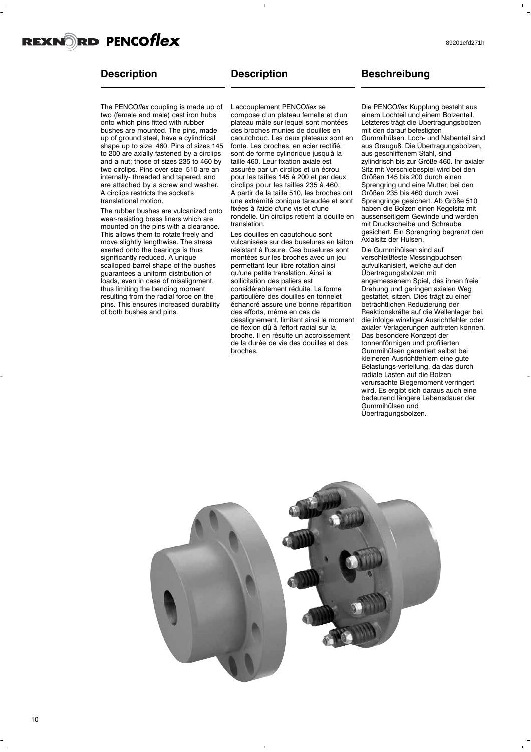### **Description**

The PENCO*flex* coupling is made up of two (female and male) cast iron hubs onto which pins fitted with rubber bushes are mounted. The pins, made up of ground steel, have a cylindrical shape up to size 460. Pins of sizes 145 to 200 are axially fastened by a circlips and a nut; those of sizes 235 to 460 by two circlips. Pins over size 510 are an internally- threaded and tapered, and are attached by a screw and washer. A circlips restricts the socket's translational motion.

The rubber bushes are vulcanized onto wear-resisting brass liners which are mounted on the pins with a clearance. This allows them to rotate freely and move slightly lengthwise. The stress exerted onto the bearings is thus significantly reduced. A unique scalloped barrel shape of the bushes guarantees a uniform distribution of loads, even in case of misalignment, thus limiting the bending moment resulting from the radial force on the pins. This ensures increased durability of both bushes and pins.

### **Description**

L'accouplement PENCO*flex* se compose d'un plateau femelle et d'un plateau mâle sur lequel sont montées des broches munies de douilles en caoutchouc. Les deux plateaux sont en fonte. Les broches, en acier rectifié, sont de forme cylindrique jusqu'à la taille 460. Leur fixation axiale est assurée par un circlips et un écrou pour les tailles 145 à 200 et par deux circlips pour les tailles 235 à 460. A partir de la taille 510, les broches ont une extrémité conique taraudée et sont fixées à l'aide d'une vis et d'une rondelle. Un circlips retient la douille en translation.

Les douilles en caoutchouc sont vulcanisées sur des buselures en laiton résistant à l'usure. Ces buselures sont montées sur les broches avec un jeu permettant leur libre rotation ainsi qu'une petite translation. Ainsi la sollicitation des paliers est considérablement réduite. La forme particulière des douilles en tonnelet échancré assure une bonne répartition des efforts, même en cas de désalignement, limitant ainsi le moment de flexion dû à l'effort radial sur la broche. Il en résulte un accroissement de la durée de vie des douilles et des broches.

### **Beschreibung**

Die PENCO*flex* Kupplung besteht aus einem Lochteil und einem Bolzenteil. Letzteres trägt die Übertragungsbolzen mit den darauf befestigten Gummihülsen. Loch- und Nabenteil sind aus Grauguß. Die Übertragungsbolzen, aus geschliffenem Stahl, sind zylindrisch bis zur Größe 460. Ihr axialer Sitz mit Verschiebespiel wird bei den Größen 145 bis 200 durch einen Sprengring und eine Mutter, bei den Größen 235 bis 460 durch zwei Sprengringe gesichert. Ab Größe 510 haben die Bolzen einen Kegelsitz mit aussenseitigem Gewinde und werden mit Druckscheibe und Schraube gesichert. Ein Sprengring begrenzt den Axialsitz der Hülsen.

Die Gummihülsen sind auf verschleißfeste Messingbuchsen aufvulkanisiert, welche auf den Übertragungsbolzen mit angemessenem Spiel, das ihnen freie Drehung und geringen axialen Weg gestattet, sitzen. Dies trägt zu einer beträchtlichen Reduzierung der Reaktionskräfte auf die Wellenlager bei, die infolge winkliger Ausrichtfehler oder axialer Verlagerungen auftreten können. Das besondere Konzept der tonnenförmigen und profilierten Gummihülsen garantiert selbst bei kleineren Ausrichtfehlern eine gute Belastungs-verteilung, da das durch radiale Lasten auf die Bolzen verursachte Biegemoment verringert wird. Es ergibt sich daraus auch eine bedeutend längere Lebensdauer der Gummihülsen und Übertragungsbolzen.

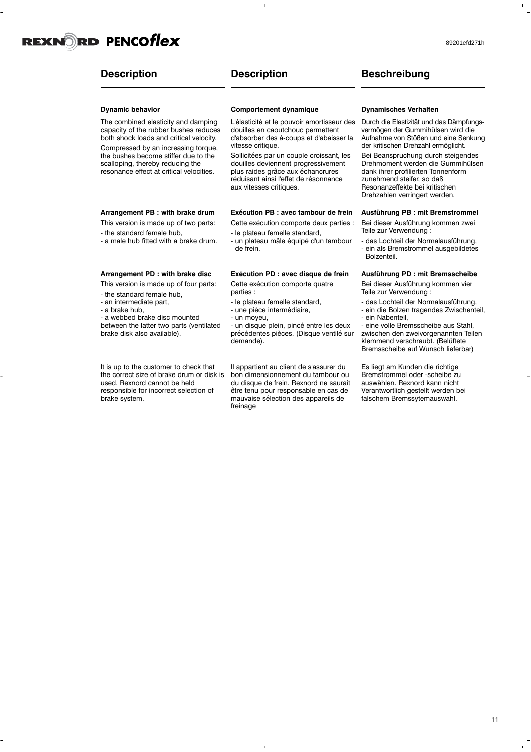

### **Description**

### **Description**

#### **Dynamic behavior**

The combined elasticity and damping capacity of the rubber bushes reduces both shock loads and critical velocity. Compressed by an increasing torque,

the bushes become stiffer due to the scalloping, thereby reducing the resonance effect at critical velocities.

### **Arrangement PB : with brake drum**

This version is made up of two parts:

- the standard female hub,

- a male hub fitted with a brake drum.

### **Arrangement PD : with brake disc**

This version is made up of four parts:

- the standard female hub,
- an intermediate part,
- a brake hub,

- a webbed brake disc mounted between the latter two parts (ventilated brake disk also available).

It is up to the customer to check that the correct size of brake drum or disk is used. Rexnord cannot be held responsible for incorrect selection of brake system.

### **Comportement dynamique**

L'élasticité et le pouvoir amortisseur des douilles en caoutchouc permettent d'absorber des à-coups et d'abaisser la vitesse critique.

Sollicitées par un couple croissant, les douilles deviennent progressivement plus raides grâce aux échancrures réduisant ainsi l'effet de résonnance aux vitesses critiques.

#### **Exécution PB : avec tambour de frein**

Cette exécution comporte deux parties :

- le plateau femelle standard,

- un plateau mâle équipé d'un tambour de frein.

### **Exécution PD : avec disque de frein**

Cette exécution comporte quatre parties :

- le plateau femelle standard,
- une pièce intermédiaire,
- un moyeu,

- un disque plein, pincé entre les deux précédentes pièces. (Disque ventilé sur demande).

Il appartient au client de s'assurer du bon dimensionnement du tambour ou du disque de frein. Rexnord ne saurait être tenu pour responsable en cas de mauvaise sélection des appareils de freinage

### **Dynamisches Verhalten**

**Beschreibung**

Durch die Elastizität und das Dämpfungsvermögen der Gummihülsen wird die Aufnahme von Stößen und eine Senkung der kritischen Drehzahl ermöglicht.

Bei Beanspruchung durch steigendes Drehmoment werden die Gummihülsen dank ihrer profilierten Tonnenform zunehmend steifer, so daß Resonanzeffekte bei kritischen Drehzahlen verringert werden.

### **Ausführung PB : mit Bremstrommel**

Bei dieser Ausführung kommen zwei Teile zur Verwendung :

- das Lochteil der Normalausführung, - ein als Bremstrommel ausgebildetes Bolzenteil.

### **Ausführung PD : mit Bremsscheibe**

Bei dieser Ausführung kommen vier Teile zur Verwendung :

- das Lochteil der Normalausführung, - ein die Bolzen tragendes Zwischenteil,
- ein Nabenteil,
- eine volle Bremsscheibe aus Stahl,

zwischen den zweivorgenannten Teilen klemmend verschraubt. (Belüftete Bremsscheibe auf Wunsch lieferbar)

Es liegt am Kunden die richtige Bremstrommel oder -scheibe zu auswählen. Rexnord kann nicht Verantwortlich gestellt werden bei falschem Bremssytemauswahl.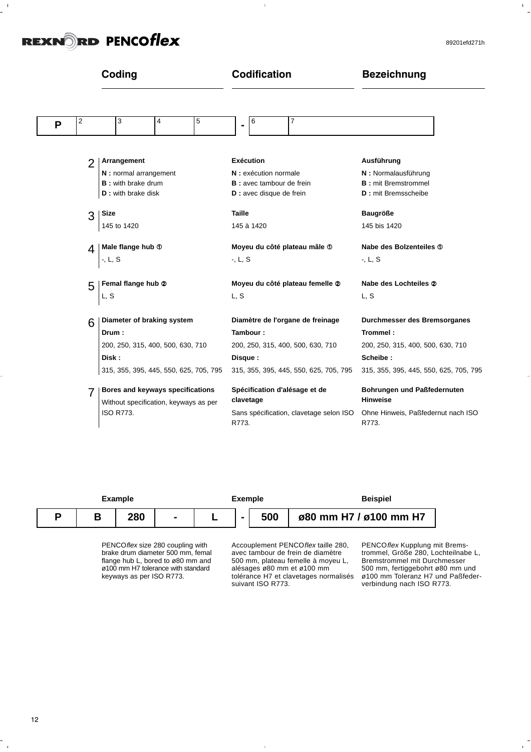$\frac{1}{2}$ 

 $\hat{\Gamma}$ 

|                     | Coding                                                                                        | <b>Codification</b>                                                                            | <b>Bezeichnung</b>                                                                            |
|---------------------|-----------------------------------------------------------------------------------------------|------------------------------------------------------------------------------------------------|-----------------------------------------------------------------------------------------------|
| $\overline{c}$<br>P | 5<br>3<br>$\overline{4}$                                                                      | 7<br>6<br>$\blacksquare$                                                                       |                                                                                               |
| $\overline{2}$      | Arrangement                                                                                   | <b>Exécution</b>                                                                               | Ausführung                                                                                    |
|                     | N: normal arrangement                                                                         | N : exécution normale                                                                          | N: Normalausführung                                                                           |
|                     | <b>B</b> : with brake drum                                                                    | <b>B</b> : avec tambour de frein                                                               | <b>B</b> : mit Bremstrommel                                                                   |
|                     | <b>D</b> : with brake disk                                                                    | D : avec disque de frein                                                                       | <b>D</b> : mit Bremsscheibe                                                                   |
| 3                   | Size                                                                                          | <b>Taille</b>                                                                                  | <b>Baugröße</b>                                                                               |
|                     | 145 to 1420                                                                                   | 145 à 1420                                                                                     | 145 bis 1420                                                                                  |
| 4                   | Male flange hub <sup>®</sup>                                                                  | Moyeu du côté plateau mâle <sup>1</sup>                                                        | Nabe des Bolzenteiles <sup>1</sup>                                                            |
|                     | -, $L, S$                                                                                     | $-L, S$                                                                                        | $-L, S$                                                                                       |
| 5                   | Femal flange hub 2                                                                            | Moyeu du côté plateau femelle 2                                                                | Nabe des Lochteiles 2                                                                         |
|                     | L, S                                                                                          | L, S                                                                                           | L, S                                                                                          |
| 6                   | Diameter of braking system                                                                    | Diamètre de l'organe de freinage                                                               | Durchmesser des Bremsorganes                                                                  |
|                     | Drum:                                                                                         | Tambour:                                                                                       | Trommel:                                                                                      |
|                     | 200, 250, 315, 400, 500, 630, 710                                                             | 200, 250, 315, 400, 500, 630, 710                                                              | 200, 250, 315, 400, 500, 630, 710                                                             |
|                     | Disk:                                                                                         | Disque:                                                                                        | Scheibe:                                                                                      |
|                     | 315, 355, 395, 445, 550, 625, 705, 795                                                        | 315, 355, 395, 445, 550, 625, 705, 795                                                         | 315, 355, 395, 445, 550, 625, 705, 795                                                        |
|                     | Bores and keyways specifications<br>Without specification, keyways as per<br><b>ISO R773.</b> | Spécification d'alésage et de<br>clavetage<br>Sans spécification, clavetage selon ISO<br>R773. | Bohrungen und Paßfedernuten<br><b>Hinweise</b><br>Ohne Hinweis, Paßfedernut nach ISO<br>R773. |

|   |   | <b>Example</b> |                |                | <b>Exemple</b> | <b>Beispiel</b>        |  |  |  |  |  |
|---|---|----------------|----------------|----------------|----------------|------------------------|--|--|--|--|--|
| n | B | 280            | $\blacksquare$ | $\blacksquare$ | 500            | ø80 mm H7 / ø100 mm H7 |  |  |  |  |  |
|   |   |                |                |                |                |                        |  |  |  |  |  |

PENCOflex size 280 coupling with brake drum diameter 500 mm, femal flange hub L, bored to ø80 mm and ø100 mm H7 tolerance with standard keyways as per ISO R773.

Accouplement PENCOflex taille 280, avec tambour de frein de diamètre 500 mm, plateau femelle à moyeu L, alésages ø80 mm et ø100 mm tolérance H7 et clavetages normalisés suivant ISO R773.

 $\overline{1}$ 

PENCOflex Kupplung mit Bremstrommel, Größe 280, Lochteilnabe L, Bremstrommel mit Durchmesser 500 mm, fertiggebohrt ø80 mm und ø100 mm Toleranz H7 und Paßfederverbindung nach ISO R773.

i.

 $\begin{array}{c} \frac{1}{2} \\ \frac{1}{2} \end{array}$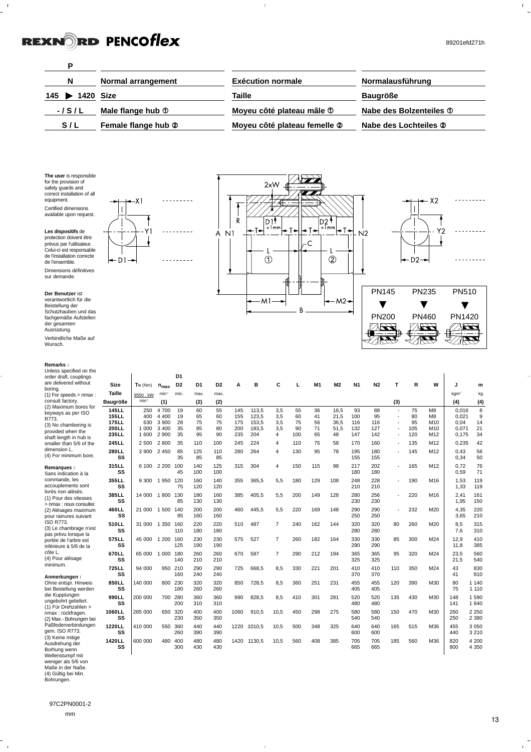89201efd271h

 $\begin{array}{c} 1 \\ 1 \end{array}$ 

 $Y2$  $\downarrow$ 

T

 $- x2$ 

l I

 $\overline{\phantom{a}}$ 

 $-D2 \rightarrow$ 

 $PN460$ ⊾  $\frac{1}{2}$ 

PN460

 $\blacktriangledown$ 

PN235

 $\begin{array}{|c|c|}\n\hline\n\text{PN1420} \\
\hline\n\text{X13} \\
\hline\n\text{X23}\n\end{array}$  $\mathbb{Z}$ 

PN1420

 $\overline{\blacktriangledown}$ 

PN510

. . . . . . . . .

. . . . . . . . .

<u>. . . . . . . . .</u>

 $\begin{picture}(20,20)(-2.0,0) \put(0,0){\line(1,0){150}} \put(15,0){\line(1,0){150}} \put(15,0){\line(1,0){150}} \put(15,0){\line(1,0){150}} \put(15,0){\line(1,0){150}} \put(15,0){\line(1,0){150}} \put(15,0){\line(1,0){150}} \put(15,0){\line(1,0){150}} \put(15,0){\line(1,0){150}} \put(15,0){\line(1,0){150}} \put(15,0){\line(1,$ 

 $PN200$ 

PN200

 $\overline{\textbf{v}}$ 

PN145

 $N<sub>2</sub>$ 

| D                                      |                     |                              |                         |
|----------------------------------------|---------------------|------------------------------|-------------------------|
| N                                      | Normal arrangement  | <b>Exécution normale</b>     | Normalausführung        |
| 145<br>$\blacktriangleright$ 1420 Size |                     | Taille                       | <b>Baugröße</b>         |
| $-1$ S $/$ L                           | Male flange hub ①   | Moyeu côté plateau mâle 1    | Nabe des Bolzenteiles 1 |
| S/L                                    | Female flange hub 2 | Moyeu côté plateau femelle 2 | Nabe des Lochteiles 2   |

 $\bar{1}$ 

 $\begin{array}{c} \begin{array}{c} \begin{array}{c} \end{array} \\ \begin{array}{c} \end{array} \\ \begin{array}{c} \end{array} \\ \begin{array}{c} \end{array} \\ \begin{array}{c} \end{array} \\ \begin{array}{c} \end{array} \\ \begin{array}{c} \end{array} \end{array}$  $\begin{array}{c}\n\begin{array}{c}\n\uparrow \\
\uparrow \\
\downarrow \\
\hline\n\end{array}\n\end{array}$ 

 $\begin{array}{c|c}\n & 2x \vee & 2x \wedge & 2x \\
\hline\n\uparrow & & \nearrow & 2x \\
\hline\n\uparrow & & \nearrow & 2x \\
\hline\n\uparrow & & \nearrow & 2x \\
\hline\n\uparrow & & \nearrow & 2x \\
\hline\n\downarrow & & \nearrow & 2x \\
\hline\n\downarrow & & \nearrow & 2x \\
\hline\n\downarrow & & \nearrow & 2x \\
\hline\n\downarrow & & \nearrow & 2x \\
\hline\n\downarrow & & \nearrow & 2x \\
\hline\n\downarrow & & \nearrow & 2x \\
\hline\n\downarrow & & \nearrow & 2x \\
\hline\n$  $2 \times W$   $\leftarrow$  $\frac{1}{\sqrt{1-\frac{1}{2}}}$  $\frac{1}{\sqrt{11}}$  $\begin{picture}(20,10) \put(0,0){\line(1,0){10}} \put(15,0){\line(1,0){10}} \put(15,0){\line(1,0){10}} \put(15,0){\line(1,0){10}} \put(15,0){\line(1,0){10}} \put(15,0){\line(1,0){10}} \put(15,0){\line(1,0){10}} \put(15,0){\line(1,0){10}} \put(15,0){\line(1,0){10}} \put(15,0){\line(1,0){10}} \put(15,0){\line(1,0){10}} \put(15,0){\line(1$  $\begin{picture}(120,10) \put(0,0){\line(1,0){10}} \put(15,0){\line(1,0){10}} \put(15,0){\line(1,0){10}} \put(15,0){\line(1,0){10}} \put(15,0){\line(1,0){10}} \put(15,0){\line(1,0){10}} \put(15,0){\line(1,0){10}} \put(15,0){\line(1,0){10}} \put(15,0){\line(1,0){10}} \put(15,0){\line(1,0){10}} \put(15,0){\line(1,0){10}} \put(15,0){\line($   $\begin{picture}(120,10) \put(0,0){\line(1,0){15}} \put(15,0){\line(1,0){15}} \put(15,0){\line(1,0){15}} \put(15,0){\line(1,0){15}} \put(15,0){\line(1,0){15}} \put(15,0){\line(1,0){15}} \put(15,0){\line(1,0){15}} \put(15,0){\line(1,0){15}} \put(15,0){\line(1,0){15}} \put(15,0){\line(1,0){15}} \put(15,0){\line(1,0){15}} \put(15,0){\line($   $\begin{picture}(120,10) \put(0,0){\line(1,0){10}} \put(15,0){\line(1,0){10}} \put(15,0){\line(1,0){10}} \put(15,0){\line(1,0){10}} \put(15,0){\line(1,0){10}} \put(15,0){\line(1,0){10}} \put(15,0){\line(1,0){10}} \put(15,0){\line(1,0){10}} \put(15,0){\line(1,0){10}} \put(15,0){\line(1,0){10}} \put(15,0){\line(1,0){10}} \put(15,0){\line($  $\frac{1}{22}$   $\sum_{i=1}^n$   $\frac{1}{2}$ 

 $\overline{1}$ 

 $\odot$ 

 $-M1$ 

 $\sqrt{\frac{2}{\sqrt{2}}}}$ **AK**  $\frac{1}{\sqrt{2}}$  $\overline{\mathbf{z}}$ 

一方

 $\begin{picture}(120,10) \put(0,0){\line(1,0){155}} \put(15,0){\line(1,0){155}} \put(15,0){\line(1,0){155}} \put(15,0){\line(1,0){155}} \put(15,0){\line(1,0){155}} \put(15,0){\line(1,0){155}} \put(15,0){\line(1,0){155}} \put(15,0){\line(1,0){155}} \put(15,0){\line(1,0){155}} \put(15,0){\line(1,0){155}} \put(15,0){\line(1,0){155}}$   $\overline{\mathbf{v}}$  $\overset{-}{\bm{x}}$ ---77  $\frac{1}{\sqrt{2}}$  $\overline{\mathbf{v}}$  $\overline{\overline{\bm{x}}}$  $\overline{\overline{\phantom{0}}}$ 긁 ₹ ₩

∣–c

 $\sf B$ 

 $\mathbf{I}$ 

 $\overline{2}$ 

 $-M2 +$ 

In∟

ľ

**The user** is responsible for the provision of safety guards and correct installation of all equipment. Certified dimensions available upon request.

 $\frac{1}{2}$ 



**Der Benutzer** ist verantwortlich für die Beistellung der Schutzhauben und das

de l'ensemble.

sur demande.

fachgemäße Aufstellen der gesamten Ausrüstung. Verbindliche Maße auf Wunsch.

#### **Remarks :**

| NGHIAINS.                                                               |                 |                   |                   |                |            |                |      |             |                |     |     |                |                |                |                |     |                |                  |                    |
|-------------------------------------------------------------------------|-----------------|-------------------|-------------------|----------------|------------|----------------|------|-------------|----------------|-----|-----|----------------|----------------|----------------|----------------|-----|----------------|------------------|--------------------|
| Unless specified on the<br>order draft, couplings                       |                 |                   |                   | D <sub>1</sub> |            |                |      |             |                |     |     |                |                |                |                |     |                |                  |                    |
| are delivered without                                                   | Size            | $T_N$ ( $Nm$ )    | $n_{max}$         | D <sub>2</sub> | D1         | D <sub>2</sub> | A    | в           | C              | L   | M1  | M <sub>2</sub> | N <sub>1</sub> | N <sub>2</sub> | т              | R   | W              | J                | m                  |
| borina.<br>(1) For speeds > nmax :                                      | Taille          | 9550, kW          | min <sup>-1</sup> | min.           | max.       | max.           |      |             |                |     |     |                |                |                |                |     |                | kam <sup>2</sup> | kg                 |
| consult factory.                                                        | <b>Baugröße</b> | min <sup>-1</sup> | (1)               |                | (2)        | (2)            |      |             |                |     |     |                |                |                | (3)            |     |                | (4)              | (4)                |
| (2) Maximum bores for                                                   | 145 L L         | 250               | 4 700             | 19             | 60         | 55             | 145  | 113,5       | 3,5            | 55  | 36  | 16,5           | 93             | 88             | ÷,             | 75  | M <sub>8</sub> | 0.016            | 8                  |
| keyways as per ISO<br>R773.                                             | <b>155LL</b>    | 400               | 4 4 0 0           | 19             | 65         | 60             | 155  | 123,5       | 3,5            | 60  | 41  | 21,5           | 100            | 95             | ÷,             | 80  | M <sub>8</sub> | 0.021            | 9                  |
| (3) No chambering is                                                    | <b>175LL</b>    | 630               | 3 9 0 0           | 28             | 75         | 75             | 175  | 153.5       | 3,5            | 75  | 56  | 36,5           | 116            | 116            |                | 95  | M10            | 0.04             | 14                 |
| provided when the                                                       | 200LL           | 1 0 0 0           | 3 4 0 0           | 35             | 85         | 80             | 200  | 183,5       | 3,5            | 90  | 71  | 51,5           | 132            | 127            | $\overline{a}$ | 105 | M10            | 0,071            | 21                 |
| shaft length in hub is                                                  | 235LL           | 1 600             | 2 900             | 35             | 95         | 90             | 235  | 204         | 4              | 100 | 65  | 48             | 147            | 142            |                | 120 | M12            | 0,175            | 34                 |
| smaller than 5/6 of the                                                 | 245 LL          | 2 500             | 2800              | 35             | 110        | 100            | 245  | 224         | 4              | 110 | 75  | 58             | 170            | 160            |                | 135 | M12            | 0,235            | 42                 |
| dimension L.<br>(4) For minimum bore.                                   | 280LL<br>SS     | 3 900             | 2 4 5 0           | 85<br>35       | 125<br>85  | 110<br>85      | 280  | 264         | 4              | 130 | 95  | 78             | 195<br>155     | 180<br>155     |                | 145 | M12            | 0.43<br>0,34     | 56<br>50           |
| Remarques :<br>Sans indication à la                                     | 315LL<br>SS     | 6 100             | 2 2 0 0           | 100<br>45      | 140<br>100 | 125<br>100     | 315  | 304         | 4              | 150 | 115 | 98             | 217<br>180     | 202<br>180     | $\blacksquare$ | 165 | M12            | 0.72<br>0.59     | 76<br>71           |
| commande, les<br>accouplements sont                                     | 355LL<br>SS     | 9 3 0 0           | 1950 120          | 75             | 160<br>120 | 140<br>120     | 355  | 365,5       | 5,5            | 180 | 129 | 108            | 248<br>210     | 228<br>210     |                | 190 | M16            | 1.53<br>1.33     | 119<br>119         |
| livrés non alésés.<br>(1) Pour des vitesses<br>> nmax : nous consulter. | 385LL<br>SS     | 14 000 1 800      |                   | 130<br>85      | 180<br>130 | 160<br>130     | 385  | 405,5       | 5,5            | 200 | 149 | 128            | 280<br>230     | 256<br>230     |                | 220 | M16            | 2.41<br>1,95     | 161<br>150         |
| (2) Alésages maximum<br>pour rainures suivant                           | 460 L L<br>SS   | 21 000 1 500 140  |                   | 95             | 200<br>160 | 200<br>160     | 460  | 445,5       | 5.5            | 220 | 169 | 148            | 290<br>250     | 290<br>250     |                | 232 | M20            | 4,35<br>3,65     | 220<br>210         |
| ISO R773.<br>(3) Le chambrage n'est                                     | 510LL<br>SS     | 31 000 1 350 160  |                   | 110            | 220<br>180 | 220<br>180     | 510  | 487         | $\overline{7}$ | 240 | 162 | 144            | 320<br>280     | 320<br>280     | 80             | 260 | M20            | 8.5<br>7.6       | 315<br>310         |
| pas prévu lorsque la<br>portée de l'arbre est<br>inférieure à 5/6 de la | 575LL<br>SS     | 45 000            | 1 200             | 160<br>125     | 230<br>190 | 230<br>190     | 575  | 527         | $\overline{7}$ | 260 | 182 | 164            | 330<br>290     | 330<br>290     | 85             | 300 | M24            | 12.9<br>11.8     | 410<br>385         |
| côte L.<br>(4) Pour alésage                                             | 670LL<br>SS     | 65 000            | 1 0 0 0           | 180<br>140     | 260<br>210 | 260<br>210     | 670  | 587         | $\overline{7}$ | 290 | 212 | 194            | 365<br>325     | 365<br>325     | 95             | 320 | M24            | 23,5<br>21,5     | 560<br>540         |
| minimum.<br>Anmerkungen :                                               | 725LL<br>SS     | 94 000            | 950 210           | 160            | 290<br>240 | 290<br>240     | 725  | 668,5       | 8,5            | 330 | 221 | 201            | 410<br>370     | 410<br>370     | 110            | 350 | M24            | 43<br>41         | 830<br>810         |
| Ohne entspr. Hinweis<br>bei Bestellung werden                           | 850LL<br>SS     | 140 000           | 800 230           | 180            | 320<br>260 | 320<br>260     | 850  | 728.5       | 8,5            | 360 | 251 | 231            | 455<br>405     | 455<br>405     | 120            | 390 | M30            | 80<br>75         | 1 1 4 0<br>1 1 1 0 |
| die Kupplungen<br>ungebohrt geliefert.                                  | 990LL<br>SS     | 200 000           | 700 280           | 200            | 360<br>310 | 360<br>310     | 990  | 828,5       | 8,5            | 410 | 301 | 281            | 520<br>480     | 520<br>480     | 135            | 430 | M30            | 148<br>141       | 1590<br>1 640      |
| (1) Für Drehzahlen ><br>nmax : rückfragen.<br>(2) Max.- Bohrungen bei   | 1060LL<br>SS    | 285 000           |                   | 650 320<br>230 | 400<br>350 | 400<br>350     | 1060 | 910,5       | 10,5           | 450 | 298 | 275            | 580<br>540     | 580<br>540     | 150            | 470 | M30            | 260<br>250       | 2 2 5 0<br>2 3 8 0 |
| Paßfederverbindungen<br>gem. ISO R773.                                  | 1220LL<br>SS    | 410 000           | 550 360           | 260            | 440<br>390 | 440<br>390     | 1220 | 1010,5      | 10,5           | 500 | 348 | 325            | 640<br>600     | 640<br>600     | 165            | 515 | M36            | 455<br>440       | 3 0 5 0<br>3 2 1 0 |
| (3) Keine mitige<br>Ausdrehung der<br>Borhung wenn                      | 1420LL<br>SS    | 600 000           | 480 400           | 300            | 480<br>430 | 480<br>430     |      | 1420 1130.5 | 10.5           | 560 | 408 | 385            | 705<br>665     | 705<br>665     | 185            | 560 | M36            | 820<br>800       | 4 200<br>4 3 5 0   |

 $\overline{1}$ 

Borhung wenn Wellenstumpf mit weniger als 5/6 von Maße in der Naße. (4) Gültig bei Min. Bohrungen.

 $\frac{1}{\sqrt{2}}$ 

 $\mathbf{r}$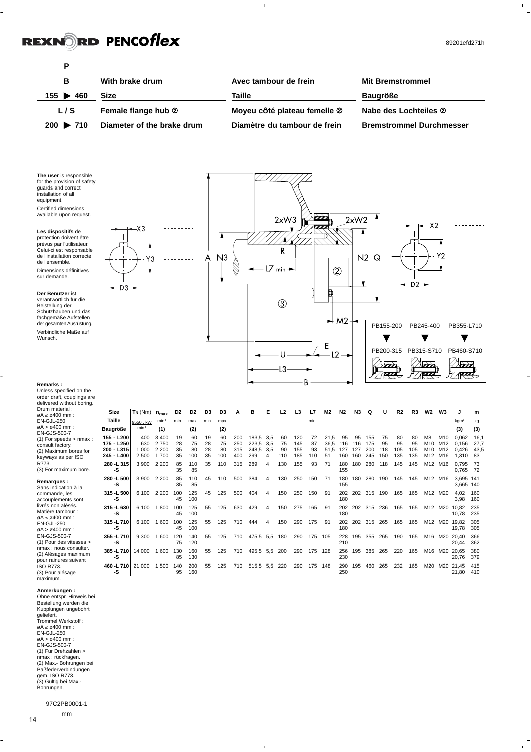$\mathbf{1}$ 

89201efd271h



 $\overline{1}$ 

fachgemäße Aufstellen der gesamten Ausrüstung. Verbindliche Maße auf Wunsch.

**Remarks :**



**315 -L 630** 6 100 1 800 100 125 55 125 630 429 4 150 275 165 91 202 202 **-S** 2012 **180 315 -L 710** 6 100 1 600 100 125 55 125 710 444 4 150 290 175 91 202 202 **-S** 45 100 180 **355 -L 710** 9 300 1 600 120 140 55 125 710 475,5 5,5 180 290 175 105 228 195 355 265<br> **-S** 75 120 **-S** 75 120 210 **385 -L 710** 14 000 1 600 130 160 55 125 710 495,5 5,5 200 290 175 128 256 195 **-S** 85 130 230 **460 -L 710** 21 000 1 500 140 200 55 125 710 515,5 5,5 220 290 175 148 290 195 **-S** 95 160 250



**Q U R2 R3 W2 W3 J m**

155 75 80 80 M8 M10 0,062 16,1<br>175 95 95 95 M10 M12 0,156 27,7<br>200 118 105 105 M10 M12 0,426 43,5 175 95 95 95 M10 M12 0,156 27,7 200 118 105 105 M10 M12 0,426 43,5 200 118 105 105 M10 M12 0,426 43<br>245 150 135 135 M12 M16 1,310 83 280 118 145 145 M12 M16 0,795 73

280 190 145 145 M12 M16 3,695 141

202 315 190 165 165 M12 M20 4,02 160

202 315 236 165 165 M12 M20 10,82 235<br>10,78 235

202 315 265 165 165 M12 M20 19,82 305

385 265 220 165 M16 M20 20,65 380

460 265 232 165 M20 M20 21,45 415

190 165 M16 M20 20,40 366

 $kgm<sup>2</sup>$  kg **(3) (3)**

0,765

 $\frac{4,02}{3,98}$ 

 $10,78$ 

 $19,78$ 

 $20.44$ 

 $|21,80$ 

20,76 379

3,665 140

| Unless specified on the<br>order draft, couplings are<br>delivered without boring.                                                                    |                                                      |                              |                                 |                      |                       |                      |                       |                          |                                        |          |                       |                          |                       |                            |                         |                         |
|-------------------------------------------------------------------------------------------------------------------------------------------------------|------------------------------------------------------|------------------------------|---------------------------------|----------------------|-----------------------|----------------------|-----------------------|--------------------------|----------------------------------------|----------|-----------------------|--------------------------|-----------------------|----------------------------|-------------------------|-------------------------|
| Drum material:<br>$\varnothing A \leq \varnothing 400$ mm :                                                                                           | <b>Size</b>                                          | $T_N$ ( $Nm$ )               | $n_{max}$                       | D <sub>2</sub>       | D <sub>2</sub>        | D3                   | D3                    | А                        | в                                      | Е        | L <sub>2</sub>        | L3                       | L7                    | M2                         | N <sub>2</sub>          | N <sub>3</sub>          |
| EN-GJL-250                                                                                                                                            | Taille                                               | 9550, kW                     | $min-1$                         | min.                 | max.                  | min.                 | max.                  |                          |                                        |          |                       |                          | min.                  |                            |                         |                         |
| $\alpha$ A > $\alpha$ 400 mm :                                                                                                                        | Baugröße                                             | $min-1$                      | (1)                             |                      | (2)                   |                      | (2)                   |                          |                                        |          |                       |                          |                       |                            |                         |                         |
| <b>EN-GJS-500-7</b><br>$(1)$ For speeds > nmax :<br>consult factory.<br>(2) Maximum bores for<br>keyways as per ISO<br>R773.<br>(3) For maximum bore. | 155 - L200<br>175 - L250<br>200 - L315<br>245 - L400 | 400<br>630<br>1 000<br>2 500 | 3400<br>2750<br>2 2 0 0<br>1700 | 19<br>28<br>35<br>35 | 60<br>75<br>80<br>100 | 19<br>28<br>28<br>35 | 60<br>75<br>80<br>100 | 200<br>250<br>315<br>400 | 183.5 3.5<br>223.5 3.5<br>248.5<br>299 | 3.5<br>4 | 60<br>75<br>90<br>110 | 120<br>145<br>155<br>185 | 72<br>87<br>93<br>110 | 21.5<br>36.5<br>51.5<br>51 | 95<br>116<br>127<br>160 | 95<br>116<br>127<br>160 |
|                                                                                                                                                       | 280 -L 315<br>-S                                     | 3 900                        | 2 200                           | 85<br>35             | 110<br>85             | 35                   | 110                   | 315                      | 289                                    | 4        | 130                   | 155                      | 93                    | 71                         | 180<br>155              | 180                     |
| Remarques:<br>Sans indication à la                                                                                                                    | 280 -L 500<br>-S                                     | 3 900                        | 2 2 0 0                         | 85<br>35             | 110<br>85             | 45                   | 110                   | 500                      | 384                                    | 4        | 130                   | 250                      | 150                   | 71                         | 180<br>155              | 180                     |
| commande, les<br>accouplements sont                                                                                                                   | 315 -L 500<br>-S                                     | 6 100                        | 2 2 0 0                         | 100<br>45            | 125<br>100            | 45                   | 125                   | 500                      | 404                                    | 4        | 150                   | 250                      | 150                   | 91                         | 202<br>180              | 202                     |

accouplements sont livrés non alésés. Matière tambour :  $\alpha A < \alpha A$ 00 mm : EN-GJL-250  $\alpha$ A >  $\alpha$ 400 mm · EN-GJS-500-7 (1) Pour des vitesses > nmax : nous consulter. (2) Alésages maximum pour rainures suivant ISO R773. (3) Pour alésage maximum.

**Anmerkungen :** Ohne entspr. Hinweis bei Bestellung werden die Kupplungen ungebohrt geliefert. Trommel Werkstoff :  $\emptyset$ A  $\leq \emptyset$ 400 mm : EN-GJL-250  $\varnothing$ A >  $\varnothing$ 400 mm EN-GJS-500-7 (1) Für Drehzahlen > nmax : rückfragen. (2) Max.- Bohrungen bei Paßfederverbindungen gem. ISO R773. (3) Gültig bei Max.- Bohrungen.

### 97C2PB0001-1 mm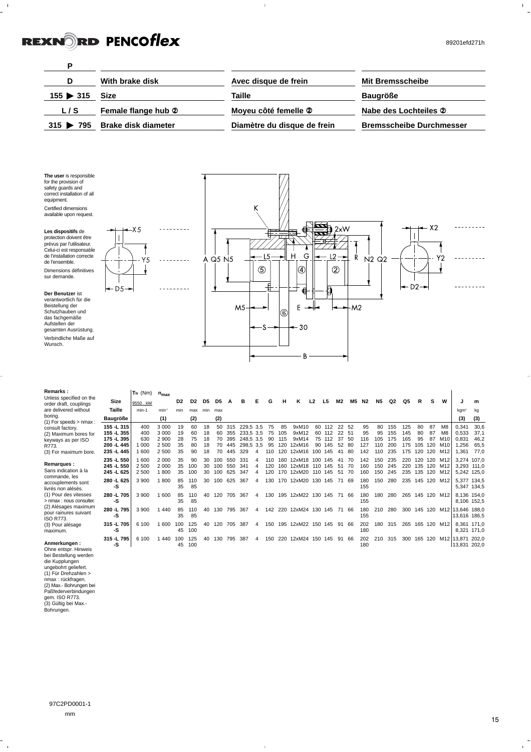$\frac{1}{2}$ 

 $\bar{\Gamma}$ 



 $\bar{1}$ 

**Der Benutzer** ist verantwortlich für die Beistellung der Schutzhauben und das fachgemäße Aufstellen der gesamten Ausrüstung. Verbindliche Maße auf

Wunsch.

Dimensions définitives sur demande.

D<sub>5</sub>

 $\frac{1}{2}$  ,  $\frac{1}{2}$  ,  $\frac{1}{2}$ 



| Remarks:                                          |             | $T_N$ (Nm) | $n_{max}$ |                |                |     |                |     |           |   |     |     |                |         |         |                |      |     |           |     |     |         |     |                 |                  |       |
|---------------------------------------------------|-------------|------------|-----------|----------------|----------------|-----|----------------|-----|-----------|---|-----|-----|----------------|---------|---------|----------------|------|-----|-----------|-----|-----|---------|-----|-----------------|------------------|-------|
| Unless specified on the<br>order draft, couplings | Size        | 9550. kW   |           | D <sub>2</sub> | D <sub>2</sub> | D5  | D <sub>5</sub> |     |           | F | G   | н   | κ              | L2      | L5      | M <sub>2</sub> | M5   | N2  | <b>N5</b> | Q2  | Q5  | R       |     | W               |                  | m     |
| are delivered without                             | Taille      | $min-1$    | min       | min            | max            | min | max            |     |           |   |     |     |                |         |         |                |      |     |           |     |     |         |     |                 | kgm <sup>2</sup> | kq    |
| boring.<br>$(1)$ For speeds $>$ nmax :            | Baugröße    |            | (1)       |                | (2)            |     | (2)            |     |           |   |     |     |                |         |         |                |      |     |           |     |     |         |     |                 | (3)              | (3)   |
| consult factory.                                  | 155 - L 315 | 400        | 3 0 0 0   | 19             | 60             | 18  | 50             | 315 | 229,5 3,5 |   | 75  | 85  | 9xM10          | 60      | 112     | 22             | -52  | 95  | 80        | 155 | 125 | 80      | 87  | M8              | 0,341            | 30,6  |
| (2) Maximum bores for                             | 155 - L 355 | 400        | 3 0 0 0   | 19             | 60             | 18  | 60             | 355 | 233,5 3,5 |   | 75  | 105 | 9xM12          | 60      | 112     | 22             | - 51 | 95  | 95        | 155 | 145 | 80      | 87  | M <sub>8</sub>  | 0,533            | 37,1  |
| keyways as per ISO                                | 175 -L 395  | 630        | 2 900     | 28             | 75             | 18  | 70             | 395 | 248.5 3.5 |   | 90  | 115 | 9xM14          | 75      | 112     | 37             | -50  | 116 | 105       | 175 | 165 | 95      | 87  | M <sub>10</sub> | 0.831            | 46,2  |
| R773.                                             | 200 - L 445 | 000        | 2 500     | 35             | 80             | 18  | 70             | 445 | 298.5 3.5 |   | 95  | 120 | 12xM16         | 90      | 145     | 52             | -80  | 127 | 110       | 200 | 175 | 105     | 120 | M <sub>10</sub> | 1.256            | 65,5  |
| (3) For maximum bore.                             | 235 -L 445  | 600        | 2 500     | 35             | 90             | 18  | 70             | 445 | 329       |   | 110 | 120 | 12xM16         | $100 -$ | 145     | 41             | 8ſ   | 142 | 110       | 235 | 175 | 120     | 120 | M <sub>12</sub> | 1.361            | 77.0  |
| Remarques :                                       | 235 -L 550  | 1600       | 2 000     | 35             | 90             | 30  | 100            | 550 | 331       |   | 110 | 160 | 12xM18         | 100     | 145     | $\mathbf{A}$   |      | 142 | 150       | 235 | 220 | 120     | 120 | M12             | 3,274 107,0      |       |
| Sans indication à la                              | 245 -L 550  | 2 500      | 2 0 0 0   | 35             | 100            | 30  | 100            | 550 | 341       |   | 120 | 160 | 12xM18         | 110     | 145     | 51             | 70   | 160 | 150       | 245 | 220 | 135     | 120 | M12             | 3,293 111,0      |       |
| commande, les                                     | 245 -L 625  | 2 500      | 800       | 35             | 100            | 30  | 100            | 625 | 347       |   | 120 | 170 | 12xM20         | 110     | 145     | 51             | 70   | 160 | 150       | 245 | 235 | 135     | 120 | M12             | 5,242 125,0      |       |
| accouplements sont                                | 280 -L 625  | 3 900      | 800       | 85             | 110            | 30  | 100            | 625 | 367       |   | 130 |     | 170 12xM20     |         | 130 145 | 71             | 69   | 180 | 150       | 280 | 235 |         |     | 145 120 M12     | 5,377 134,5      |       |
| livrés non alésés.                                | -S          |            |           | 35             | 85             |     |                |     |           |   |     |     |                |         |         |                |      | 155 |           |     |     |         |     |                 | 5,347 134,5      |       |
| (1) Pour des vitesses                             | 280 -L 705  | 3 900      | 600       | 85             | 110            | 40  | 120            | 705 | 367       | 4 | 130 |     | 195 12xM22     |         | 130 145 | 71             | -66  | 180 | 180       | 280 | 265 |         |     | 145 120 M12     | 8.136 154.0      |       |
| > nmax : nous consulter.                          | -S          |            |           | 35             | 85             |     |                |     |           |   |     |     |                |         |         |                |      | 155 |           |     |     |         |     |                 | 8,106 152,5      |       |
| (2) Alésages maximum                              | 280 -L 795  | 3 900      | 440       | 85             | 110            | 40  | 130            | 795 | 367       | 4 | 142 | 220 | 12xM24 130 145 |         |         | 71             | 66   | 180 | 210       | 280 | 300 | 145 120 |     | M12             | 13.646           | 188.0 |
| pour rainures suivant<br><b>ISO R773.</b>         | -S          |            |           | 35             | 85             |     |                |     |           |   |     |     |                |         |         |                |      | 155 |           |     |     |         |     |                 | 13.616 186.5     |       |
| (3) Pour alésage                                  | 315 -L 705  | 6 100      | 600       | 100            | 125            | 40  | 120            | 705 | 387       |   | 150 | 195 | 12xM22 150 145 |         |         | 91             | 66   | 202 | 180       | 315 | 265 | 165 120 |     | M12             | 8.361            | 171.0 |
| maximum.                                          | -S          |            |           | 45             | 100            |     |                |     |           |   |     |     |                |         |         |                |      | 180 |           |     |     |         |     |                 | 8,321 171,0      |       |
|                                                   | 315 -L 795  | 6 100      | 440       | 100            | 125            | 40  | 130            | 795 | 387       | 4 | 150 | 220 | 12xM24         |         | 150 145 | 91             | 66   | 202 | 210       | 315 | 300 | 165     | 120 |                 | M12 13,871       | 202.0 |
| Anmerkungen:                                      | -S          |            |           | 45             | 100            |     |                |     |           |   |     |     |                |         |         |                |      | 180 |           |     |     |         |     |                 | 13.831           | 202.0 |
| Ohne entenr Hinweis                               |             |            |           |                |                |     |                |     |           |   |     |     |                |         |         |                |      |     |           |     |     |         |     |                 |                  |       |

 $\overline{1}$ 

Ohne entspr. Hinweis bei Bestellung werden die Kupplungen ungebohrt geliefert. (1) Für Drehzahlen > nmax : rückfragen. (2) Max.- Bohrungen bei Paßfederverbindungen gem. ISO R773. (3) Gültig bei Max.- Bohrungen.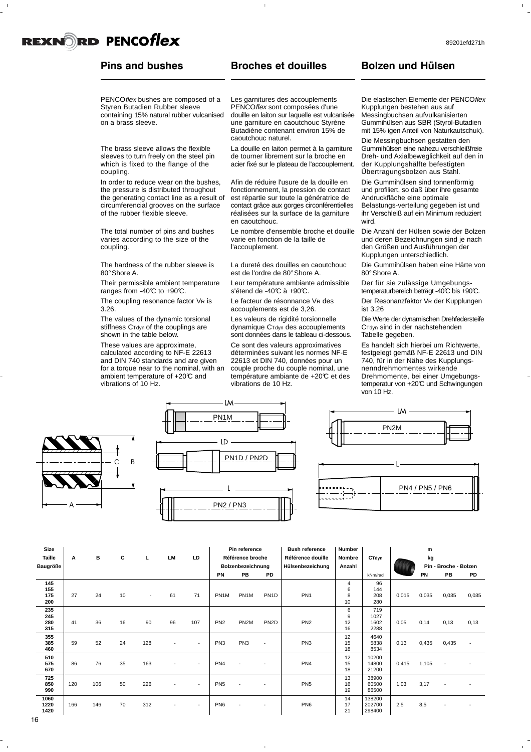### **Pins and bushes**

#### PENCOflex bushes are composed of a Styren Butadien Rubber sleeve containing 15% natural rubber vulcanised on a brass sleeve.

The brass sleeve allows the flexible sleeves to turn freely on the steel pin which is fixed to the flange of the coupling.

In order to reduce wear on the bushes, the pressure is distributed throughout the generating contact line as a result of circumferencial grooves on the surface of the rubber flexible sleeve.

The total number of pins and bushes varies according to the size of the coupling.

The hardness of the rubber sleeve is 80°Shore A.

Their permissible ambient temperature ranges from -40 $C$  to +90 $C$ .

The coupling resonance factor VR is 3.26. The values of the dynamic torsional

stiffness C<sub>Tdyn</sub> of the couplings are shown in the table below.

These values are approximate, calculated according to NF-E 22613 and DIN 740 standards and are given for a torque near to the nominal, with an ambient temperature of +20°C and vibrations of 10 Hz.

### **Broches et douilles**

Les garnitures des accouplements PENCOflex sont composées d'une douille en laiton sur laquelle est vulcanisée une garniture en caoutchouc Styrène Butadiène contenant environ 15% de caoutchouc naturel.

La douille en laiton permet à la garniture de tourner librement sur la broche en acier fixé sur le plateau de l'accouplement.

Afin de réduire l'usure de la douille en fonctionnement, la pression de contact est répartie sur toute la génératrice de contact grâce aux gorges circonférentielles réalisées sur la surface de la garniture en caoutchouc.

Le nombre d'ensemble broche et douille varie en fonction de la taille de l'accouplement.

La dureté des douilles en caoutchouc est de l'ordre de 80°Shore A.

Leur température ambiante admissible s'étend de -40°C à +90°C.

Le facteur de résonnance VR des accouplements est de 3,26.

Les valeurs de rigidité torsionnelle dynamique CTdyn des accouplements sont données dans le tableau ci-dessous.

Ce sont des valeurs approximatives déterminées suivant les normes NF-E 22613 et DIN 740, données pour un couple proche du couple nominal, une température ambiante de +20°C et des vibrations de 10 Hz.

### **Bolzen und Hülsen**

Die elastischen Elemente der PENCOflex Kupplungen bestehen aus auf Messingbuchsen aufvulkanisierten Gummihülsen aus SBR (Styrol-Butadien mit 15% igen Anteil von Naturkautschuk).

Die Messingbuchsen gestatten den Gummihülsen eine nahezu verschleißfreie Dreh- und Axialbeweglichkeit auf den in der Kupplungshälfte befestigten Übertragungsbolzen aus Stahl.

Die Gummihülsen sind tonnenförmig und profiliert, so daß über ihre gesamte Andruckfläche eine optimale Belastungs-verteilung gegeben ist und ihr Verschleiß auf ein Minimum reduziert wird.

Die Anzahl der Hülsen sowie der Bolzen und deren Bezeichnungen sind je nach den Größen und Ausführungen der Kupplungen unterschiedlich.

Die Gummihülsen haben eine Härte von 80°Shore A.

Der für sie zulässige Umgebungstemperaturbereich beträgt -40°C bis +90°C.

Der Resonanzfaktor VR der Kupplungen ist 3.26

Die Werte der dynamischen Drehfedersteife CTdyn sind in der nachstehenden Tabelle gegeben.

Es handelt sich hierbei um Richtwerte, festgelegt gemäß NF-E 22613 und DIN 740, für in der Nähe des Kupplungsnenndrehmomentes wirkende Drehmomente, bei einer Umgebungstemperatur von +20°C und Schwingungen von 10 Hz.





LM



| Size                     |     |     |    |        |    |                          | Pin reference                         |                        |                   | <b>Bush reference</b> | Number             |                             | m     |       |                       |                |  |  |
|--------------------------|-----|-----|----|--------|----|--------------------------|---------------------------------------|------------------------|-------------------|-----------------------|--------------------|-----------------------------|-------|-------|-----------------------|----------------|--|--|
| Taille                   | Α   | в   | С  | г      | LM | LD                       | Référence broche                      |                        | Référence douille | Nombre                | CTdyn              |                             | kg    |       |                       |                |  |  |
| Baugröße                 |     |     |    |        |    |                          | Hülsenbezeichung<br>Bolzenbezeichnung |                        |                   |                       | Anzahl             |                             |       |       | Pin - Broche - Bolzen |                |  |  |
|                          |     |     |    |        |    |                          | PN                                    | <b>PB</b><br><b>PD</b> |                   |                       |                    | kNm/rad                     |       | PN    | PB                    | <b>PD</b>      |  |  |
| 145<br>155<br>175<br>200 | 27  | 24  | 10 | $\sim$ | 61 | 71                       | PN1M                                  | PN <sub>1</sub> M      | PN <sub>1</sub> D | PN <sub>1</sub>       | 4<br>6<br>8<br>10  | 96<br>144<br>208<br>280     | 0,015 | 0,035 | 0,035                 | 0,035          |  |  |
| 235<br>245<br>280<br>315 | 41  | 36  | 16 | 90     | 96 | 107                      | PN <sub>2</sub>                       | PN <sub>2M</sub>       | PN <sub>2D</sub>  | PN <sub>2</sub>       | 6<br>9<br>12<br>16 | 719<br>1027<br>1602<br>2288 | 0,05  | 0,14  | 0,13                  | 0,13           |  |  |
| 355<br>385<br>460        | 59  | 52  | 24 | 128    |    | $\overline{\phantom{a}}$ | PN <sub>3</sub>                       | PN <sub>3</sub>        | $\sim$            | PN <sub>3</sub>       | 12<br>15<br>18     | 4640<br>5838<br>8534        | 0,13  | 0,435 | 0,435                 | $\blacksquare$ |  |  |
| 510<br>575<br>670        | 86  | 76  | 35 | 163    |    | $\overline{\phantom{a}}$ | PN <sub>4</sub>                       |                        |                   | PN4                   | 12<br>15<br>18     | 10200<br>14800<br>21200     | 0,415 | 1,105 | $\blacksquare$        |                |  |  |
| 725<br>850<br>990        | 120 | 106 | 50 | 226    |    | $\overline{\phantom{a}}$ | PN <sub>5</sub>                       |                        |                   | PN <sub>5</sub>       | 13<br>16<br>19     | 38900<br>60500<br>86500     | 1,03  | 3,17  |                       |                |  |  |
| 1060<br>1220<br>1420     | 166 | 146 | 70 | 312    |    | $\overline{\phantom{a}}$ | PN <sub>6</sub>                       |                        |                   | PN <sub>6</sub>       | 14<br>17<br>21     | 138200<br>202700<br>298400  | 2,5   | 8,5   |                       |                |  |  |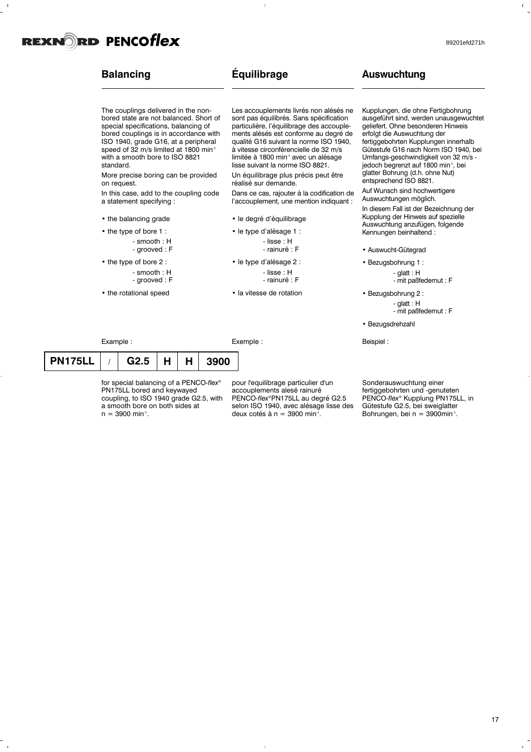### **Balancing**

### **Équilibrage**

 $\overline{1}$ 

The couplings delivered in the nonbored state are not balanced. Short of special specifications, balancing of bored couplings is in accordance with ISO 1940, grade G16, at a peripheral speed of 32 m/s limited at 1800 min<sup>-1</sup> with a smooth bore to ISO 8821 standard.

More precise boring can be provided on request.

In this case, add to the coupling code a statement specifying :

- the balancing grade
- the type of bore 1 : - smooth : H - grooved : F
- the type of bore 2 : - smooth : H - grooved : F
- the rotational speed

Example :

Les accouplements livrés non alésés ne sont pas équilibrés. Sans spécification particulière, l'équilibrage des accouplements alésés est conforme au degré de qualité G16 suivant la norme ISO 1940, à vitesse circonférencielle de 32 m/s limitée à 1800 min<sup>-1</sup> avec un alésage lisse suivant la norme ISO 8821.

Un équilibrage plus précis peut être réalisé sur demande.

Dans ce cas, rajouter à la codification de l'accouplement, une mention indiquant :

- le degré d'équilibrage
- le type d'alésage 1 :
	- lisse : H - rainuré : F
- le type d'alésage 2 : - lisse : H - rainuré : F
- la vitesse de rotation

Exemple :

**Auswuchtung**

Kupplungen, die ohne Fertigbohrung ausgeführt sind, werden unausgewuchtet geliefert. Ohne besonderen Hinweis erfolgt die Auswuchtung der fertiggebohrten Kupplungen innerhalb Gütestufe G16 nach Norm ISO 1940, bei Umfangs-geschwindigkeit von 32 m/s jedoch begrenzt auf 1800 min<sup>-1</sup>, bei glatter Bohrung (d.h. ohne Nut) entsprechend ISO 8821.

Auf Wunsch sind hochwertigere Auswuchtungen möglich.

In diesem Fall ist der Bezeichnung der Kupplung der Hinweis auf spezielle Auswuchtung anzufügen, folgende Kennungen beinhaltend :

• Auswucht-Gütegrad

• Bezugsbohrung 1 : - glatt : H - mit paßfedernut : F

• Bezugsbohrung 2 : - glatt : H - mit paßfedernut : F

• Bezugsdrehzahl

Beispiel :

| PN175LL | G2.5 | H   H | 3900 |
|---------|------|-------|------|

for special balancing of a PENCO*-flex®* PN175LL bored and keywayed coupling, to ISO 1940 grade G2.5, with a smooth bore on both sides at  $n = 3900$  min<sup>-1</sup>.

pour l'equilibrage particulier d'un accouplements alesé rainuré PENCO*-flex®*PN175LL au degré G2.5 selon ISO 1940, avec alésage lisse des deux cotés à n = 3900 min-1 .

Sonderauswuchtung einer fertiggebohrten und -genuteten PENCO*-flex®* Kupplung PN175LL, in Gütestufe G2.5, bei sweiglatter Bohrungen, bei n = 3900min<sup>-1</sup>.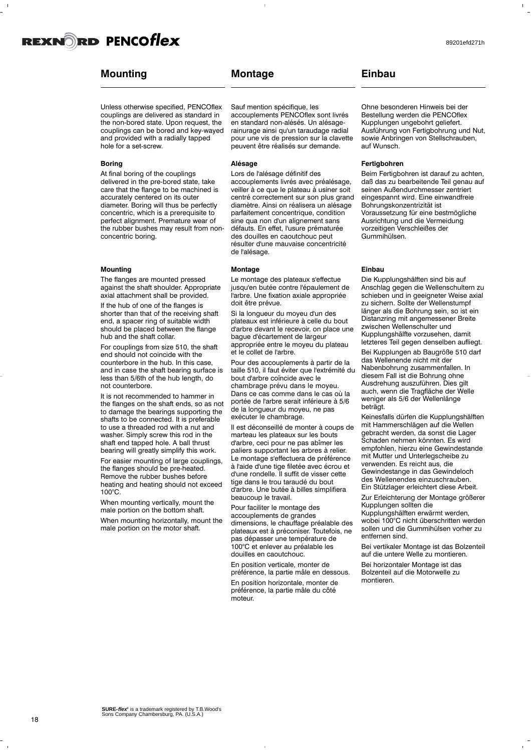

### **Mounting**

Unless otherwise specified, PENCOflex couplings are delivered as standard in the non-bored state. Upon request, the couplings can be bored and key-wayed and provided with a radially tapped hole for a set-screw.

### **Boring**

At final boring of the couplings delivered in the pre-bored state, take care that the flange to be machined is accurately centered on its outer diameter. Boring will thus be perfectly concentric, which is a prerequisite to perfect alignment. Premature wear of the rubber bushes may result from nonconcentric boring.

### **Mounting**

The flanges are mounted pressed against the shaft shoulder. Appropriate axial attachment shall be provided.

If the hub of one of the flanges is shorter than that of the receiving shaft end, a spacer ring of suitable width should be placed between the flange hub and the shaft collar.

For couplings from size 510, the shaft end should not coincide with the counterbore in the hub. In this case, and in case the shaft bearing surface is less than 5/6th of the hub length, do not counterbore.

It is not recommended to hammer in the flanges on the shaft ends, so as not to damage the bearings supporting the shafts to be connected. It is preferable to use a threaded rod with a nut and washer. Simply screw this rod in the shaft end tapped hole. A ball thrust bearing will greatly simplify this work.

For easier mounting of large couplings, the flanges should be pre-heated. Remove the rubber bushes before heating and heating should not exceed 100°C.

When mounting vertically, mount the male portion on the bottom shaft. When mounting horizontally, mount the male portion on the motor shaft.

### **Montage**

Sauf mention spécifique, les accouplements PENCOflex sont livrés en standard non-alésés. Un alésagerainurage ainsi qu'un taraudage radial pour une vis de pression sur la clavette peuvent être réalisés sur demande.

### **Alésage**

Lors de l'alésage définitif des accouplements livrés avec préalésage, veiller à ce que le plateau à usiner soit centré correctement sur son plus grand diamètre. Ainsi on réalisera un alésage parfaitement concentrique, condition sine qua non d'un alignement sans défauts. En effet, l'usure prématurée des douilles en caoutchouc peut résulter d'une mauvaise concentricité de l'alésage.

#### **Montage**

Le montage des plateaux s'effectue jusqu'en butée contre l'épaulement de l'arbre. Une fixation axiale appropriée doit être prévue.

Si la longueur du moyeu d'un des plateaux est inférieure à celle du bout d'arbre devant le recevoir, on place une bague d'écartement de largeur appropriée entre le moyeu du plateau et le collet de l'arbre.

Pour des accouplements à partir de la taille 510, il faut éviter que l'extrémité du bout d'arbre coïncide avec le chambrage prévu dans le moyeu. Dans ce cas comme dans le cas où la portée de l'arbre serait inférieure à 5/6 de la longueur du moyeu, ne pas exécuter le chambrage.

Il est déconseillé de monter à coups de marteau les plateaux sur les bouts d'arbre, ceci pour ne pas abîmer les paliers supportant les arbres à relier. Le montage s'effectuera de préférence à l'aide d'une tige filetée avec écrou et d'une rondelle. Il suffit de visser cette tige dans le trou taraudé du bout d'arbre. Une butée à billes simplifiera beaucoup le travail.

Pour faciliter le montage des accouplements de grandes dimensions, le chauffage préalable des plateaux est à préconiser. Toutefois, ne pas dépasser une température de 100°C et enlever au préalable les douilles en caoutchouc.

En position verticale, monter de préférence, la partie mâle en dessous. En position horizontale, monter de préférence, la partie mâle du côté moteur.

### **Einbau**

Ohne besonderen Hinweis bei der Bestellung werden die PENCOflex Kupplungen ungebohrt geliefert. Ausführung von Fertigbohrung und Nut, sowie Anbringen von Stellschrauben, auf Wunsch.

### **Fertigbohren**

Beim Fertigbohren ist darauf zu achten, daß das zu bearbeitende Teil genau auf seinen Außendurchmesser zentriert eingespannt wird. Eine einwandfreie Bohrungskonzentrizität ist Voraussetzung für eine bestmögliche Ausrichtung und die Vermeidung vorzeitigen Verschleißes der Gummihülsen.

### **Einbau**

Die Kupplungshälften sind bis auf Anschlag gegen die Wellenschultern zu schieben und in geeigneter Weise axial zu sichern. Sollte der Wellenstumpf länger als die Bohrung sein, so ist ein Distanzring mit angemessener Breite zwischen Wellenschulter und Kupplungshälfte vorzusehen, damit letzteres Teil gegen denselben aufliegt.

Bei Kupplungen ab Baugröße 510 darf das Wellenende nicht mit der

Nabenbohrung zusammenfallen. In diesem Fall ist die Bohrung ohne Ausdrehung auszuführen. Dies gilt auch, wenn die Tragfläche der Welle weniger als 5/6 der Wellenlänge beträgt.

Keinesfalls dürfen die Kupplungshälften mit Hammerschlägen auf die Wellen gebracht werden, da sonst die Lager Schaden nehmen könnten. Es wird empfohlen, hierzu eine Gewindestande mit Mutter und Unterlegscheibe zu verwenden. Es reicht aus, die Gewindestange in das Gewindeloch des Wellenendes einzuschrauben. Ein Stützlager erleichtert diese Arbeit.

Zur Erleichterung der Montage größerer Kupplungen sollten die Kupplungshälften erwärmt werden, wobei 100°C nicht überschritten werden sollen und die Gummihülsen vorher zu

entfernen sind. Bei vertikaler Montage ist das Bolzenteil auf die untere Welle zu montieren.

Bei horizontaler Montage ist das Bolzenteil auf die Motorwelle zu montieren.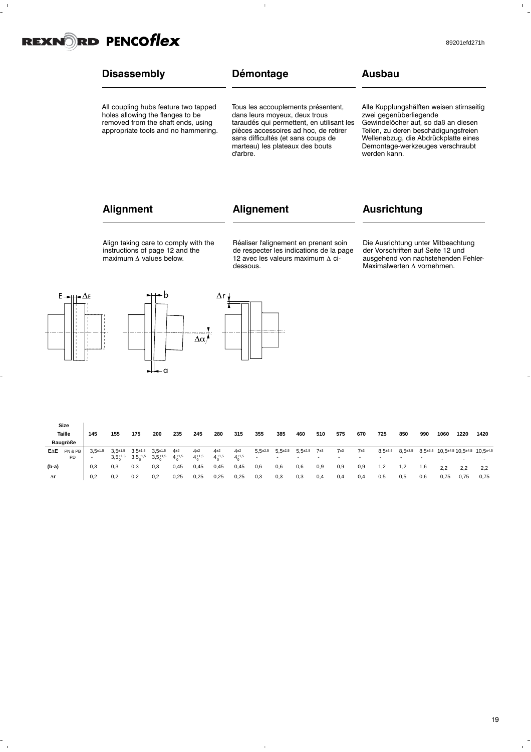

 $\bar{\Gamma}$ 

#### **Disassembly** All coupling hubs feature two tapped holes allowing the flanges to be removed from the shaft ends, using appropriate tools and no hammering. **Démontage** Tous les accouplements présentent, dans leurs moyeux, deux trous taraudés qui permettent, en utilisant les pièces accessoires ad hoc, de retirer sans difficultés (et sans coups de marteau) les plateaux des bouts d'arbre. **Ausbau** Alle Kupplungshälften weisen stirnseitig zwei gegenüberliegende Gewindelöcher auf, so daß an diesen Teilen, zu deren beschädigungsfreien Wellenabzug, die Abdrückplatte eines Demontage-werkzeuges verschraubt werden kann.

### **Alignment**

### **Alignement**

### **Ausrichtung**

Align taking care to comply with the instructions of page 12 and the  $maximum \Delta$  values below.

Réaliser l'alignement en prenant soin de respecter les indications de la page 12 avec les valeurs maximum  $\Delta$  cidessous.

Die Ausrichtung unter Mitbeachtung der Vorschriften auf Seite 12 und ausgehend von nachstehenden Fehler-Maximalwerten  $\Delta$  vornehmen.



**Size**

 $\frac{1}{\sqrt{2}}$ 

 $\overline{1}$ 



|       | ----     |             |                  |                  |              |                |                |                |                |                |                          |                          |     |     |                          |           |           |     |                          |                                                                       |                          |
|-------|----------|-------------|------------------|------------------|--------------|----------------|----------------|----------------|----------------|----------------|--------------------------|--------------------------|-----|-----|--------------------------|-----------|-----------|-----|--------------------------|-----------------------------------------------------------------------|--------------------------|
|       | Taille   | 145         | 155              | 175              | 200          | 235            | 245            | 280            | 315            | 355            | 385                      | 460                      | 510 | 575 | 670                      | 725       | 850       | 990 | 1060                     | 1220                                                                  | 1420                     |
|       | Baugröße |             |                  |                  |              |                |                |                |                |                |                          |                          |     |     |                          |           |           |     |                          |                                                                       |                          |
| EAE   | PN & PB  | $3.5 + 1.5$ | $3.5 + 1.5$      | $3.5 + 1.5$      | $3.5+1.5$    | $4+2$          | $4+2$          | $4^{\pm 2}$    | $4+2$          | $5,5+2,5$      | $5,5^{\pm 2,5}$          | $5,5^{\pm 2,5}$          | 7±3 | 7±3 | 7±3                      | $8,5+3,5$ | $8,5+3,5$ |     |                          | $8,5^{\pm 3,5}$ 10,5 $^{\pm 4,5}$ 10,5 $^{\pm 4,5}$ 10,5 $^{\pm 4,5}$ |                          |
|       | PD       |             | $3,5^{+1,5}_{0}$ | $3,5^{+1,5}_{0}$ | $3,5^{+1,5}$ | $4^{+1,5}_{0}$ | $4^{+1,5}_{0}$ | $4^{+1,5}_{0}$ | $4^{+1,5}_{0}$ | $\overline{a}$ | $\overline{\phantom{0}}$ | $\overline{\phantom{0}}$ |     |     | $\overline{\phantom{a}}$ |           |           |     | $\overline{\phantom{0}}$ | -                                                                     | $\overline{\phantom{0}}$ |
| (b-a) |          | 0.3         | 0.3              | 0,3              | 0,3          | 0,45           | 0,45           | 0,45           | 0,45           | 0,6            | 0,6                      | 0,6                      | 0,9 | 0,9 | 0,9                      | 1,2       | 1,2       | 1,6 | 2.2                      | 2.2                                                                   | 2.2                      |
| Δr    |          | 0,2         | 0,2              | 0,2              | 0,2          | 0,25           | 0,25           | 0,25           | 0,25           | 0,3            | 0,3                      | 0,3                      | 0,4 | 0,4 | 0,4                      | 0,5       | 0,5       | 0,6 | 0,75                     | 0,75                                                                  | 0,75                     |

 $\overline{1}$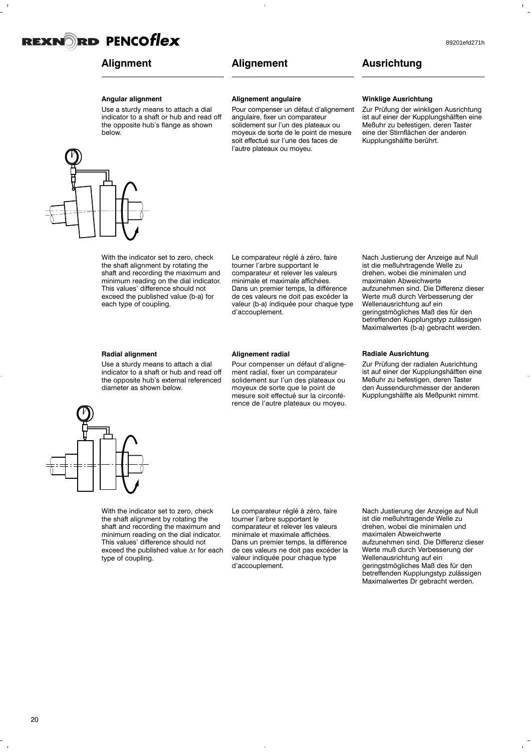### **Alignement**

### 89201efd271h

### **Ausrichtung**

### **Angular alignment**

Use a sturdy means to attach a dial indicator to a shaft or hub and read off the opposite hub's flange as shown below.

#### **Alignement angulaire**

Pour compenser un défaut d'alignement angulaire, fixer un comparateur solidement sur l'un des plateaux ou moyeux de sorte de le point de mesure soit effectué sur l'une des faces de l'autre plateaux ou moyeu.

#### **Winklige Ausrichtung**

Zur Prüfung der winkligen Ausrichtung ist auf einer der Kupplungshälften eine Meßuhr zu befestigen, deren Taster eine der Stirnflächen der anderen Kupplungshälfte berührt.

With the indicator set to zero, check the shaft alignment by rotating the shaft and recording the maximum and minimum reading on the dial indicator. This values' difference should not exceed the published value (b-a) for each type of coupling.

Le comparateur réglé à zéro, faire tourner l'arbre supportant le comparateur et relever les valeurs minimale et maximale affichées. Dans un premier temps, la différence de ces valeurs ne doit pas excéder la valeur (b-a) indiquée pour chaque type d'accouplement.

### **Radial alignment**

Use a sturdy means to attach a dial indicator to a shaft or hub and read off the opposite hub's external referenced diameter as shown below.

#### **Alignement radial**

Pour compenser un défaut d'alignement radial, fixer un comparateur solidement sur l'un des plateaux ou moyeux de sorte que le point de mesure soit effectué sur la circonférence de l'autre plateaux ou moyeu.



### **Radiale Ausrichtung**

Zur Prüfung der radialen Ausrichtung ist auf einer der Kupplungshälften eine Meßuhr zu befestigen, deren Taster den Aussendurchmesser der anderen Kupplungshälfte als Meßpunkt nimmt.



With the indicator set to zero, check the shaft alignment by rotating the shaft and recording the maximum and minimum reading on the dial indicator. This values' difference should not exceed the published value  $\Delta r$  for each type of coupling.

Le comparateur réglé à zéro, faire tourner l'arbre supportant le comparateur et relever les valeurs minimale et maximale affichées. Dans un premier temps, la différence de ces valeurs ne doit pas excéder la valeur indiquée pour chaque type d'accouplement.

Nach Justierung der Anzeige auf Null ist die meßuhrtragende Welle zu drehen, wobei die minimalen und maximalen Abweichwerte aufzunehmen sind. Die Differenz dieser Werte muß durch Verbesserung der Wellenausrichtung auf ein geringstmögliches Maß des für den betreffenden Kupplungstyp zulässigen Maximalwertes Dr gebracht werden.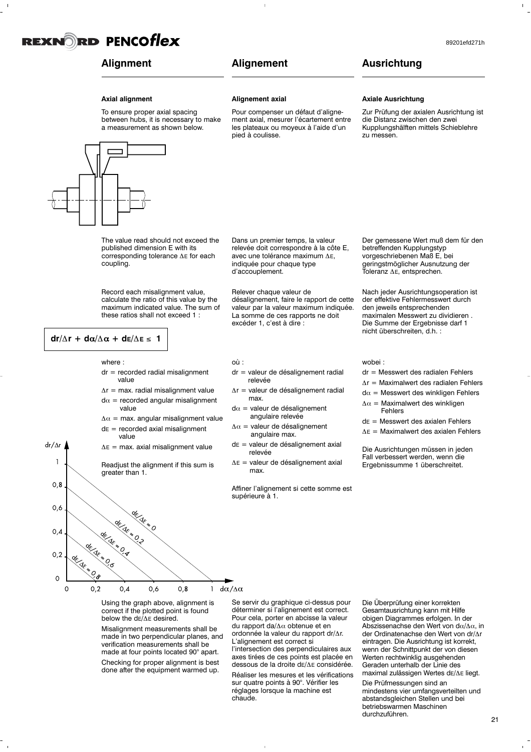

### **Alignment**

### **Alignement**

**Alignement axial**

### 89201efd271h

### **Ausrichtung**

### **Axial alignment**

To ensure proper axial spacing between hubs, it is necessary to make a measurement as shown below.



Pour compenser un défaut d'alignement axial, mesurer l'écartement entre les plateaux ou moyeux à l'aide d'un pied à coulisse.

Dans un premier temps, la valeur relevée doit correspondre à la côte E, avec une tolérance maximum  $\Delta E$ , indiquée pour chaque type d'accouplement.

désalignement, faire le rapport de cette valeur par la valeur maximum indiquée. La somme de ces rapports ne doit

dr = valeur de désalignement radial

 $\Delta r$  = valeur de désalignement radial

de = valeur de désalignement axial

 $\Delta E$  = valeur de désalignement axial

 $d\alpha$  = valeur de désalignement angulaire relevée  $\Delta \alpha$  = valeur de désalignement angulaire max.

Relever chaque valeur de

excéder 1, c'est à dire :

relevée

max.

relevée

max.

où :

#### **Axiale Ausrichtung**

Zur Prüfung der axialen Ausrichtung ist die Distanz zwischen den zwei Kupplungshälften mittels Schieblehre zu messen.

The value read should not exceed the published dimension E with its corresponding tolerance  $\Delta E$  for each coupling.

Record each misalignment value, calculate the ratio of this value by the maximum indicated value. The sum of these ratios shall not exceed 1 :

$$
dr/\Delta r + d\alpha/\Delta \alpha + d\epsilon/\Delta \epsilon \leq 1
$$

 $dr/\Delta r$  $\overline{1}$ 

where :

- $dr =$  recorded radial misalignment value
- $\Delta r$  = max. radial misalignment value  $d\alpha$  = recorded angular misalignment value
- $\Delta \alpha$  = max. angular misalignment value  $dE$  = recorded axial misalignment
- value  $\Delta E$  = max. axial misalignment value
- 

Readjust the alignment if this sum is greater than 1.



Using the graph above, alignment is correct if the plotted point is found below the  $dE/\Delta E$  desired.

Misalignment measurements shall be made in two perpendicular planes, and verification measurements shall be made at four points located 90° apart. Checking for proper alignment is best done after the equipment warmed up.

Se servir du graphique ci-dessus pour déterminer si l'alignement est correct. Pour cela, porter en abcisse la valeur du rapport da/ $\Delta \alpha$  obtenue et en ordonnée la valeur du rapport dr/ $\Delta$ r. L'alignement est correct si

l'intersection des perpendiculaires aux axes tirées de ces points est placée en dessous de la droite dE/ $\Delta$ E considérée.

Réaliser les mesures et les vérifications sur quatre points à 90°. Vérifier les réglages lorsque la machine est chaude.

Die Überprüfung einer korrekten Gesamtausrichtung kann mit Hilfe obigen Diagrammes erfolgen. In der Abszissenachse den Wert von d $\alpha/\Delta\alpha$ , in der Ordinatenachse den Wert von dr/Ar eintragen. Die Ausrichtung ist korrekt, wenn der Schnittpunkt der von diesen Werten rechtwinklig ausgehenden Geraden unterhalb der Linie des maximal zulässigen Wertes dE/ $\Delta$ E liegt.

Die Prüfmessungen sind an mindestens vier umfangsverteilten und abstandsgleichen Stellen und bei betriebswarmen Maschinen durchzuführen.

Der gemessene Wert muß dem für den betreffenden Kupplungstyp vorgeschriebenen Maß E, bei geringstmöglicher Ausnutzung der Toleranz  $\Delta$ E, entsprechen.

Nach jeder Ausrichtungsoperation ist der effektive Fehlermesswert durch den jeweils entsprechenden maximalen Messwert zu dividieren . Die Summe der Ergebnisse darf 1 nicht überschreiten, d.h. :

#### wobei :

- dr = Messwert des radialen Fehlers
- $\Delta r$  = Maximalwert des radialen Fehlers
- $d\alpha$  = Messwert des winkligen Fehlers
- $\Delta \alpha$  = Maximalwert des winkligen Fehlers
- $dE =$  Messwert des axialen Fehlers
- $\Delta E$  = Maximalwert des axialen Fehlers

Die Ausrichtungen müssen in jeden Fall verbessert werden, wenn die Ergebnissumme 1 überschreitet.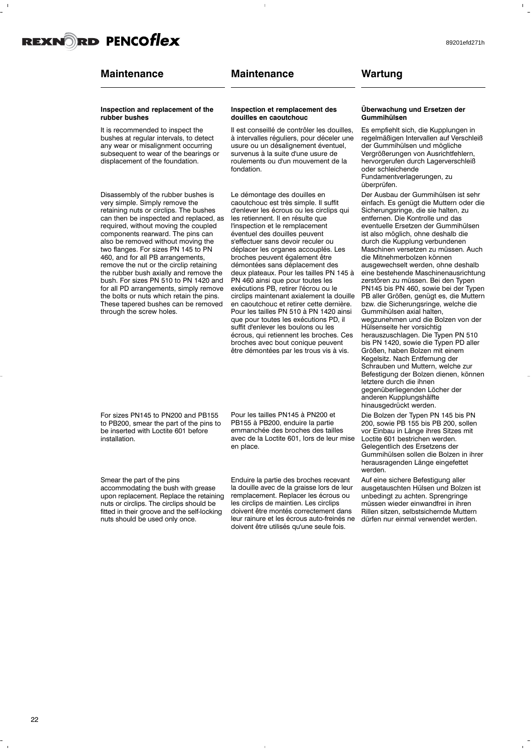### **Maintenance**

#### **Inspection and replacement of the rubber bushes**

It is recommended to inspect the bushes at regular intervals, to detect any wear or misalignment occurring subsequent to wear of the bearings or displacement of the foundation.

Disassembly of the rubber bushes is very simple. Simply remove the retaining nuts or circlips. The bushes can then be inspected and replaced, as required, without moving the coupled components rearward. The pins can also be removed without moving the two flanges. For sizes PN 145 to PN 460, and for all PB arrangements, remove the nut or the circlip retaining the rubber bush axially and remove the bush. For sizes PN 510 to PN 1420 and for all PD arrangements, simply remove the bolts or nuts which retain the pins. These tapered bushes can be removed through the screw holes.

For sizes PN145 to PN200 and PB155 to PB200, smear the part of the pins to be inserted with Loctite 601 before installation.

Smear the part of the pins

accommodating the bush with grease upon replacement. Replace the retaining nuts or circlips. The circlips should be fitted in their groove and the self-locking nuts should be used only once.

**Inspection et remplacement des douilles en caoutchouc**

Il est conseillé de contrôler les douilles, à intervalles réguliers, pour déceler une usure ou un désalignement éventuel, survenus à la suite d'une usure de roulements ou d'un mouvement de la fondation.

Le démontage des douilles en caoutchouc est très simple. Il suffit d'enlever les écrous ou les circlips qui les retiennent. Il en résulte que l'inspection et le remplacement éventuel des douilles peuvent s'effectuer sans devoir reculer ou déplacer les organes accouplés. Les broches peuvent également être démontées sans déplacement des deux plateaux. Pour les tailles PN 145 à PN 460 ainsi que pour toutes les exécutions PB, retirer l'écrou ou le circlips maintenant axialement la douille en caoutchouc et retirer cette dernière. Pour les tailles PN 510 à PN 1420 ainsi que pour toutes les exécutions PD, il suffit d'enlever les boulons ou les écrous, qui retiennent les broches. Ces broches avec bout conique peuvent être démontées par les trous vis à vis.

Pour les tailles PN145 à PN200 et PB155 à PB200, enduire la partie emmanchée des broches des tailles avec de la Loctite 601, lors de leur mise en place.

Enduire la partie des broches recevant la douille avec de la graisse lors de leur remplacement. Replacer les écrous ou les circlips de maintien. Les circlips doivent être montés correctement dans leur rainure et les écrous auto-freinés ne doivent être utilisés qu'une seule fois.

**Wartung**

#### **Überwachung und Ersetzen der Gummihülsen**

Es empfiehlt sich, die Kupplungen in regelmäßigen Intervallen auf Verschleiß der Gummihülsen und mögliche Vergrößerungen von Ausrichtfehlern, hervorgerufen durch Lagerverschleiß oder schleichende Fundamentverlagerungen, zu überprüfen.

Der Ausbau der Gummihülsen ist sehr einfach. Es genügt die Muttern oder die Sicherungsringe, die sie halten, zu entfernen. Die Kontrolle und das eventuelle Ersetzen der Gummihülsen ist also möglich, ohne deshalb die durch die Kupplung verbundenen Maschinen versetzen zu müssen. Auch die Mitnehmerbolzen können ausgewechselt werden, ohne deshalb eine bestehende Maschinenausrichtung zerstören zu müssen. Bei den Typen PN145 bis PN 460, sowie bei der Typen PB aller Größen, genügt es, die Muttern bzw. die Sicherungsringe, welche die Gummihülsen axial halten, wegzunehmen und die Bolzen von der Hülsenseite her vorsichtig herauszuschlagen. Die Typen PN 510 bis PN 1420, sowie die Typen PD aller Größen, haben Bolzen mit einem Kegelsitz. Nach Entfernung der Schrauben und Muttern, welche zur Befestigung der Bolzen dienen, können letztere durch die ihnen gegenüberliegenden Löcher der anderen Kupplungshälfte hinausgedrückt werden.

Die Bolzen der Typen PN 145 bis PN 200, sowie PB 155 bis PB 200, sollen vor Einbau in Länge ihres Sitzes mit Loctite 601 bestrichen werden. Gelegentlich des Ersetzens der Gummihülsen sollen die Bolzen in ihrer herausragenden Länge eingefettet werden.

Auf eine sichere Befestigung aller ausgetauschten Hülsen und Bolzen ist unbedingt zu achten. Sprengringe müssen wieder einwandfrei in ihren Rillen sitzen, selbstsichernde Muttern dürfen nur einmal verwendet werden.

89201efd271h